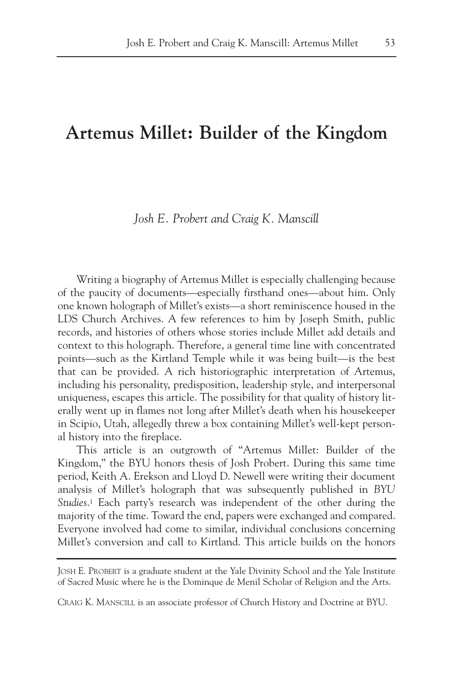# **Artemus Millet: Builder of the Kingdom**

# *Josh E. Probert and Craig K. Manscill*

Writing a biography of Artemus Millet is especially challenging because of the paucity of documents—especially firsthand ones—about him. Only one known holograph of Millet's exists—a short reminiscence housed in the LDS Church Archives. A few references to him by Joseph Smith, public records, and histories of others whose stories include Millet add details and context to this holograph. Therefore, a general time line with concentrated points—such as the Kirtland Temple while it was being built—is the best that can be provided. A rich historiographic interpretation of Artemus, including his personality, predisposition, leadership style, and interpersonal uniqueness, escapes this article. The possibility for that quality of history literally went up in flames not long after Millet's death when his housekeeper in Scipio, Utah, allegedly threw a box containing Millet's well-kept personal history into the fireplace.

This article is an outgrowth of "Artemus Millet: Builder of the Kingdom," the BYU honors thesis of Josh Probert. During this same time period, Keith A. Erekson and Lloyd D. Newell were writing their document analysis of Millet's holograph that was subsequently published in *BYU Studies*.1 Each party's research was independent of the other during the majority of the time. Toward the end, papers were exchanged and compared. Everyone involved had come to similar, individual conclusions concerning Millet's conversion and call to Kirtland. This article builds on the honors

JOSH E. PROBERT is a graduate student at the Yale Divinity School and the Yale Institute of Sacred Music where he is the Dominque de Menil Scholar of Religion and the Arts.

CRAIG K. MANSCILL is an associate professor of Church History and Doctrine at BYU.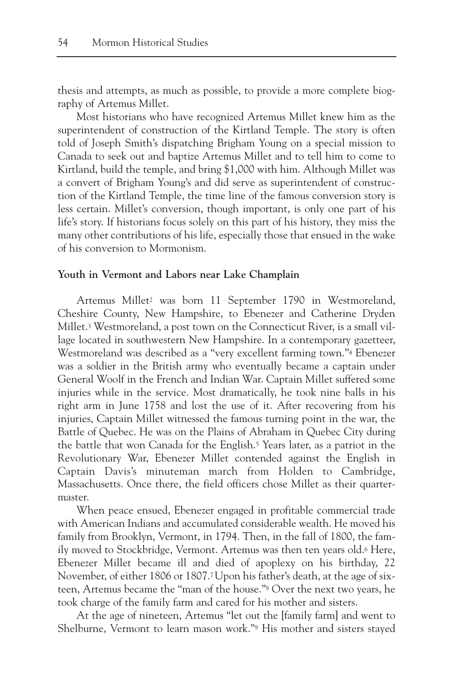thesis and attempts, as much as possible, to provide a more complete biography of Artemus Millet.

Most historians who have recognized Artemus Millet knew him as the superintendent of construction of the Kirtland Temple. The story is often told of Joseph Smith's dispatching Brigham Young on a special mission to Canada to seek out and baptize Artemus Millet and to tell him to come to Kirtland, build the temple, and bring \$1,000 with him. Although Millet was a convert of Brigham Young's and did serve as superintendent of construction of the Kirtland Temple, the time line of the famous conversion story is less certain. Millet's conversion, though important, is only one part of his life's story. If historians focus solely on this part of his history, they miss the many other contributions of his life, especially those that ensued in the wake of his conversion to Mormonism.

# **Youth in Vermont and Labors near Lake Champlain**

Artemus Millet2 was born 11 September 1790 in Westmoreland, Cheshire County, New Hampshire, to Ebenezer and Catherine Dryden Millet.<sup>3</sup> Westmoreland, a post town on the Connecticut River, is a small village located in southwestern New Hampshire. In a contemporary gazetteer, Westmoreland was described as a "very excellent farming town."4 Ebenezer was a soldier in the British army who eventually became a captain under General Woolf in the French and Indian War. Captain Millet suffered some injuries while in the service. Most dramatically, he took nine balls in his right arm in June 1758 and lost the use of it. After recovering from his injuries, Captain Millet witnessed the famous turning point in the war, the Battle of Quebec. He was on the Plains of Abraham in Quebec City during the battle that won Canada for the English.5 Years later, as a patriot in the Revolutionary War, Ebenezer Millet contended against the English in Captain Davis's minuteman march from Holden to Cambridge, Massachusetts. Once there, the field officers chose Millet as their quartermaster.

When peace ensued, Ebenezer engaged in profitable commercial trade with American Indians and accumulated considerable wealth. He moved his family from Brooklyn, Vermont, in 1794. Then, in the fall of 1800, the family moved to Stockbridge, Vermont. Artemus was then ten years old.6 Here, Ebenezer Millet became ill and died of apoplexy on his birthday, 22 November, of either 1806 or 1807.7Upon his father's death, at the age of sixteen, Artemus became the "man of the house."8 Over the next two years, he took charge of the family farm and cared for his mother and sisters.

At the age of nineteen, Artemus "let out the [family farm] and went to Shelburne, Vermont to learn mason work."9 His mother and sisters stayed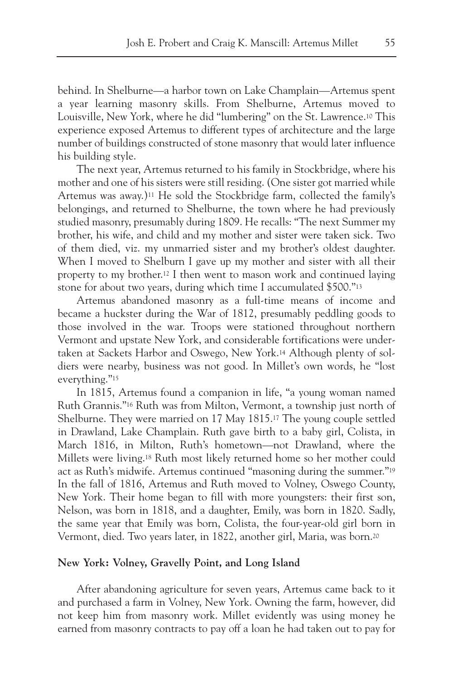behind. In Shelburne—a harbor town on Lake Champlain—Artemus spent a year learning masonry skills. From Shelburne, Artemus moved to Louisville, New York, where he did "lumbering" on the St. Lawrence.10 This experience exposed Artemus to different types of architecture and the large number of buildings constructed of stone masonry that would later influence his building style.

The next year, Artemus returned to his family in Stockbridge, where his mother and one of his sisters were still residing. (One sister got married while Artemus was away.)11 He sold the Stockbridge farm, collected the family's belongings, and returned to Shelburne, the town where he had previously studied masonry, presumably during 1809. He recalls: "The next Summer my brother, his wife, and child and my mother and sister were taken sick. Two of them died, viz. my unmarried sister and my brother's oldest daughter. When I moved to Shelburn I gave up my mother and sister with all their property to my brother.12 I then went to mason work and continued laying stone for about two years, during which time I accumulated \$500."13

Artemus abandoned masonry as a full-time means of income and became a huckster during the War of 1812, presumably peddling goods to those involved in the war. Troops were stationed throughout northern Vermont and upstate New York, and considerable fortifications were undertaken at Sackets Harbor and Oswego, New York.14 Although plenty of soldiers were nearby, business was not good. In Millet's own words, he "lost everything."15

In 1815, Artemus found a companion in life, "a young woman named Ruth Grannis."16 Ruth was from Milton, Vermont, a township just north of Shelburne. They were married on 17 May 1815.17 The young couple settled in Drawland, Lake Champlain. Ruth gave birth to a baby girl, Colista, in March 1816, in Milton, Ruth's hometown—not Drawland, where the Millets were living.18 Ruth most likely returned home so her mother could act as Ruth's midwife. Artemus continued "masoning during the summer."19 In the fall of 1816, Artemus and Ruth moved to Volney, Oswego County, New York. Their home began to fill with more youngsters: their first son, Nelson, was born in 1818, and a daughter, Emily, was born in 1820. Sadly, the same year that Emily was born, Colista, the four-year-old girl born in Vermont, died. Two years later, in 1822, another girl, Maria, was born.20

# **New York: Volney, Gravelly Point, and Long Island**

After abandoning agriculture for seven years, Artemus came back to it and purchased a farm in Volney, New York. Owning the farm, however, did not keep him from masonry work. Millet evidently was using money he earned from masonry contracts to pay off a loan he had taken out to pay for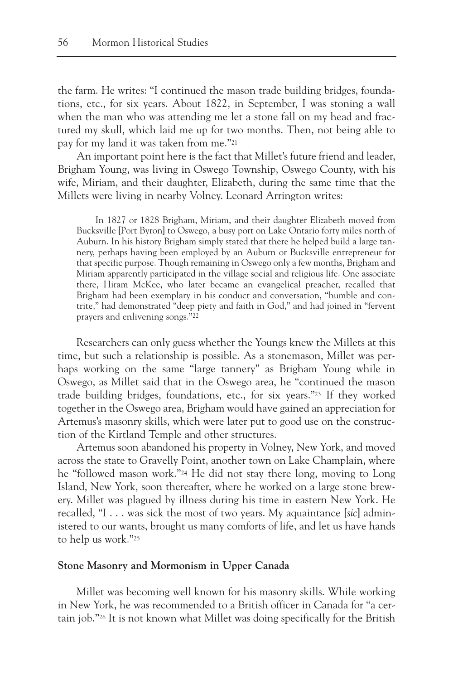the farm. He writes: "I continued the mason trade building bridges, foundations, etc., for six years. About 1822, in September, I was stoning a wall when the man who was attending me let a stone fall on my head and fractured my skull, which laid me up for two months. Then, not being able to pay for my land it was taken from me."21

An important point here is the fact that Millet's future friend and leader, Brigham Young, was living in Oswego Township, Oswego County, with his wife, Miriam, and their daughter, Elizabeth, during the same time that the Millets were living in nearby Volney. Leonard Arrington writes:

In 1827 or 1828 Brigham, Miriam, and their daughter Elizabeth moved from Bucksville [Port Byron] to Oswego, a busy port on Lake Ontario forty miles north of Auburn. In his history Brigham simply stated that there he helped build a large tannery, perhaps having been employed by an Auburn or Bucksville entrepreneur for that specific purpose. Though remaining in Oswego only a few months, Brigham and Miriam apparently participated in the village social and religious life. One associate there, Hiram McKee, who later became an evangelical preacher, recalled that Brigham had been exemplary in his conduct and conversation, "humble and contrite," had demonstrated "deep piety and faith in God," and had joined in "fervent prayers and enlivening songs."22

Researchers can only guess whether the Youngs knew the Millets at this time, but such a relationship is possible. As a stonemason, Millet was perhaps working on the same "large tannery" as Brigham Young while in Oswego, as Millet said that in the Oswego area, he "continued the mason trade building bridges, foundations, etc., for six years."23 If they worked together in the Oswego area, Brigham would have gained an appreciation for Artemus's masonry skills, which were later put to good use on the construction of the Kirtland Temple and other structures.

Artemus soon abandoned his property in Volney, New York, and moved across the state to Gravelly Point, another town on Lake Champlain, where he "followed mason work."24 He did not stay there long, moving to Long Island, New York, soon thereafter, where he worked on a large stone brewery. Millet was plagued by illness during his time in eastern New York. He recalled, "I . . . was sick the most of two years. My aquaintance [*sic*] administered to our wants, brought us many comforts of life, and let us have hands to help us work."25

# **Stone Masonry and Mormonism in Upper Canada**

Millet was becoming well known for his masonry skills. While working in New York, he was recommended to a British officer in Canada for "a certain job."26 It is not known what Millet was doing specifically for the British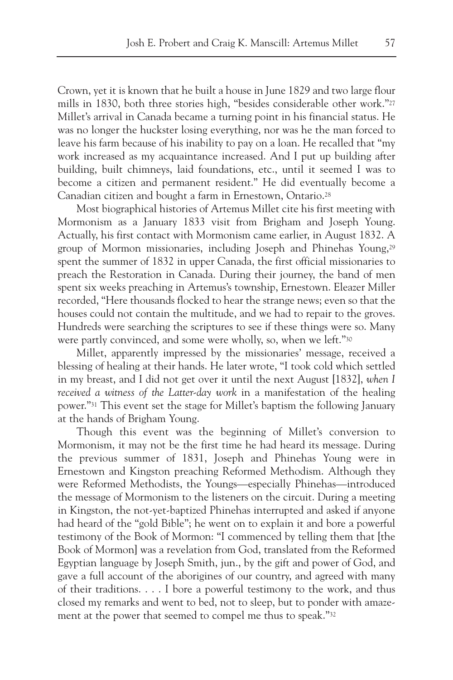Crown, yet it is known that he built a house in June 1829 and two large flour mills in 1830, both three stories high, "besides considerable other work."27 Millet's arrival in Canada became a turning point in his financial status. He was no longer the huckster losing everything, nor was he the man forced to leave his farm because of his inability to pay on a loan. He recalled that "my work increased as my acquaintance increased. And I put up building after building, built chimneys, laid foundations, etc., until it seemed I was to become a citizen and permanent resident." He did eventually become a Canadian citizen and bought a farm in Ernestown, Ontario.28

Most biographical histories of Artemus Millet cite his first meeting with Mormonism as a January 1833 visit from Brigham and Joseph Young. Actually, his first contact with Mormonism came earlier, in August 1832. A group of Mormon missionaries, including Joseph and Phinehas Young,29 spent the summer of 1832 in upper Canada, the first official missionaries to preach the Restoration in Canada. During their journey, the band of men spent six weeks preaching in Artemus's township, Ernestown. Eleazer Miller recorded, "Here thousands flocked to hear the strange news; even so that the houses could not contain the multitude, and we had to repair to the groves. Hundreds were searching the scriptures to see if these things were so. Many were partly convinced, and some were wholly, so, when we left."30

Millet, apparently impressed by the missionaries' message, received a blessing of healing at their hands. He later wrote, "I took cold which settled in my breast, and I did not get over it until the next August [1832], *when I received a witness of the Latter-day work* in a manifestation of the healing power."31 This event set the stage for Millet's baptism the following January at the hands of Brigham Young.

Though this event was the beginning of Millet's conversion to Mormonism, it may not be the first time he had heard its message. During the previous summer of 1831, Joseph and Phinehas Young were in Ernestown and Kingston preaching Reformed Methodism. Although they were Reformed Methodists, the Youngs—especially Phinehas—introduced the message of Mormonism to the listeners on the circuit. During a meeting in Kingston, the not-yet-baptized Phinehas interrupted and asked if anyone had heard of the "gold Bible"; he went on to explain it and bore a powerful testimony of the Book of Mormon: "I commenced by telling them that [the Book of Mormon] was a revelation from God, translated from the Reformed Egyptian language by Joseph Smith, jun., by the gift and power of God, and gave a full account of the aborigines of our country, and agreed with many of their traditions. . . . I bore a powerful testimony to the work, and thus closed my remarks and went to bed, not to sleep, but to ponder with amazement at the power that seemed to compel me thus to speak."32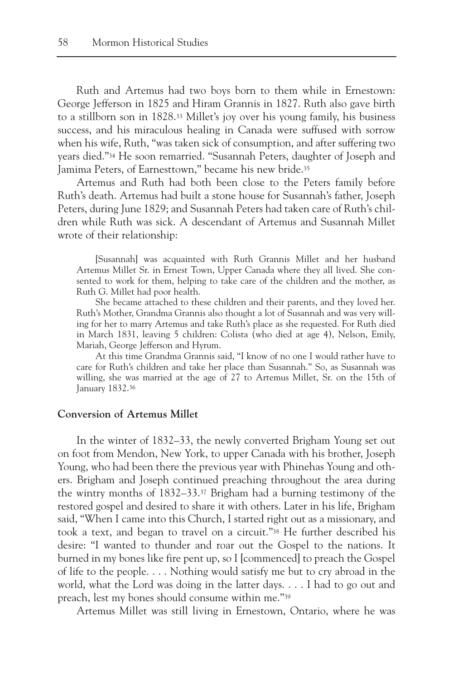Ruth and Artemus had two boys born to them while in Ernestown: George Jefferson in 1825 and Hiram Grannis in 1827. Ruth also gave birth to a stillborn son in 1828.33 Millet's joy over his young family, his business success, and his miraculous healing in Canada were suffused with sorrow when his wife, Ruth, "was taken sick of consumption, and after suffering two years died."34 He soon remarried. "Susannah Peters, daughter of Joseph and Jamima Peters, of Earnesttown," became his new bride.35

Artemus and Ruth had both been close to the Peters family before Ruth's death. Artemus had built a stone house for Susannah's father, Joseph Peters, during June 1829; and Susannah Peters had taken care of Ruth's children while Ruth was sick. A descendant of Artemus and Susannah Millet wrote of their relationship:

[Susannah] was acquainted with Ruth Grannis Millet and her husband Artemus Millet Sr. in Ernest Town, Upper Canada where they all lived. She consented to work for them, helping to take care of the children and the mother, as Ruth G. Millet had poor health.

She became attached to these children and their parents, and they loved her. Ruth's Mother, Grandma Grannis also thought a lot of Susannah and was very willing for her to marry Artemus and take Ruth's place as she requested. For Ruth died in March 1831, leaving 5 children: Colista (who died at age 4), Nelson, Emily, Mariah, George Jefferson and Hyrum.

At this time Grandma Grannis said, "I know of no one I would rather have to care for Ruth's children and take her place than Susannah." So, as Susannah was willing, she was married at the age of 27 to Artemus Millet, Sr. on the 15th of January 1832.36

# **Conversion of Artemus Millet**

In the winter of 1832–33, the newly converted Brigham Young set out on foot from Mendon, New York, to upper Canada with his brother, Joseph Young, who had been there the previous year with Phinehas Young and others. Brigham and Joseph continued preaching throughout the area during the wintry months of 1832–33.37 Brigham had a burning testimony of the restored gospel and desired to share it with others. Later in his life, Brigham said, "When I came into this Church, I started right out as a missionary, and took a text, and began to travel on a circuit."38 He further described his desire: "I wanted to thunder and roar out the Gospel to the nations. It burned in my bones like fire pent up, so I [commenced] to preach the Gospel of life to the people. . . . Nothing would satisfy me but to cry abroad in the world, what the Lord was doing in the latter days. . . . I had to go out and preach, lest my bones should consume within me."39

Artemus Millet was still living in Ernestown, Ontario, where he was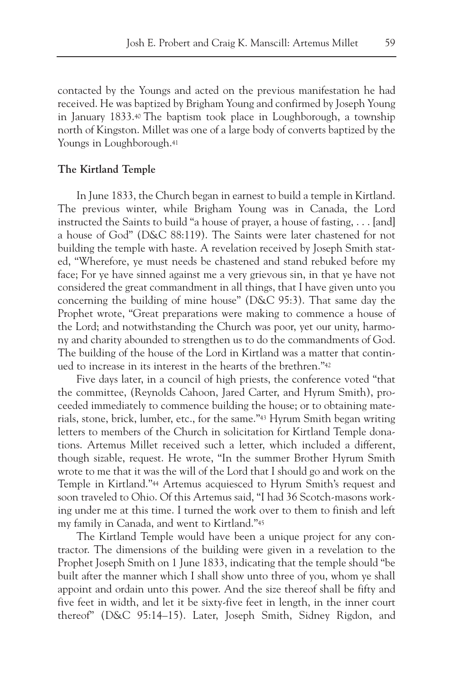contacted by the Youngs and acted on the previous manifestation he had received. He was baptized by Brigham Young and confirmed by Joseph Young in January 1833.40 The baptism took place in Loughborough, a township north of Kingston. Millet was one of a large body of converts baptized by the Youngs in Loughborough.41

# **The Kirtland Temple**

In June 1833, the Church began in earnest to build a temple in Kirtland. The previous winter, while Brigham Young was in Canada, the Lord instructed the Saints to build "a house of prayer, a house of fasting, . . . [and] a house of God" (D&C 88:119). The Saints were later chastened for not building the temple with haste. A revelation received by Joseph Smith stated, "Wherefore, ye must needs be chastened and stand rebuked before my face; For ye have sinned against me a very grievous sin, in that ye have not considered the great commandment in all things, that I have given unto you concerning the building of mine house" (D&C 95:3). That same day the Prophet wrote, "Great preparations were making to commence a house of the Lord; and notwithstanding the Church was poor, yet our unity, harmony and charity abounded to strengthen us to do the commandments of God. The building of the house of the Lord in Kirtland was a matter that continued to increase in its interest in the hearts of the brethren."42

Five days later, in a council of high priests, the conference voted "that the committee, (Reynolds Cahoon, Jared Carter, and Hyrum Smith), proceeded immediately to commence building the house; or to obtaining materials, stone, brick, lumber, etc., for the same."43 Hyrum Smith began writing letters to members of the Church in solicitation for Kirtland Temple donations. Artemus Millet received such a letter, which included a different, though sizable, request. He wrote, "In the summer Brother Hyrum Smith wrote to me that it was the will of the Lord that I should go and work on the Temple in Kirtland."44 Artemus acquiesced to Hyrum Smith's request and soon traveled to Ohio. Of this Artemus said, "I had 36 Scotch-masons working under me at this time. I turned the work over to them to finish and left my family in Canada, and went to Kirtland."45

The Kirtland Temple would have been a unique project for any contractor. The dimensions of the building were given in a revelation to the Prophet Joseph Smith on 1 June 1833, indicating that the temple should "be built after the manner which I shall show unto three of you, whom ye shall appoint and ordain unto this power. And the size thereof shall be fifty and five feet in width, and let it be sixty-five feet in length, in the inner court thereof" (D&C 95:14–15). Later, Joseph Smith, Sidney Rigdon, and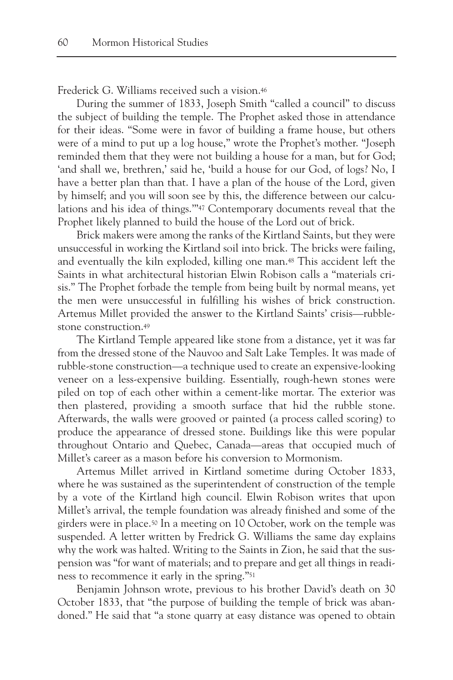Frederick G. Williams received such a vision.46

During the summer of 1833, Joseph Smith "called a council" to discuss the subject of building the temple. The Prophet asked those in attendance for their ideas. "Some were in favor of building a frame house, but others were of a mind to put up a log house," wrote the Prophet's mother. "Joseph reminded them that they were not building a house for a man, but for God; 'and shall we, brethren,' said he, 'build a house for our God, of logs? No, I have a better plan than that. I have a plan of the house of the Lord, given by himself; and you will soon see by this, the difference between our calculations and his idea of things.'"47 Contemporary documents reveal that the Prophet likely planned to build the house of the Lord out of brick.

Brick makers were among the ranks of the Kirtland Saints, but they were unsuccessful in working the Kirtland soil into brick. The bricks were failing, and eventually the kiln exploded, killing one man.48 This accident left the Saints in what architectural historian Elwin Robison calls a "materials crisis." The Prophet forbade the temple from being built by normal means, yet the men were unsuccessful in fulfilling his wishes of brick construction. Artemus Millet provided the answer to the Kirtland Saints' crisis—rubblestone construction.49

The Kirtland Temple appeared like stone from a distance, yet it was far from the dressed stone of the Nauvoo and Salt Lake Temples. It was made of rubble-stone construction—a technique used to create an expensive-looking veneer on a less-expensive building. Essentially, rough-hewn stones were piled on top of each other within a cement-like mortar. The exterior was then plastered, providing a smooth surface that hid the rubble stone. Afterwards, the walls were grooved or painted (a process called scoring) to produce the appearance of dressed stone. Buildings like this were popular throughout Ontario and Quebec, Canada—areas that occupied much of Millet's career as a mason before his conversion to Mormonism.

Artemus Millet arrived in Kirtland sometime during October 1833, where he was sustained as the superintendent of construction of the temple by a vote of the Kirtland high council. Elwin Robison writes that upon Millet's arrival, the temple foundation was already finished and some of the girders were in place.50 In a meeting on 10 October, work on the temple was suspended. A letter written by Fredrick G. Williams the same day explains why the work was halted. Writing to the Saints in Zion, he said that the suspension was "for want of materials; and to prepare and get all things in readiness to recommence it early in the spring."51

Benjamin Johnson wrote, previous to his brother David's death on 30 October 1833, that "the purpose of building the temple of brick was abandoned." He said that "a stone quarry at easy distance was opened to obtain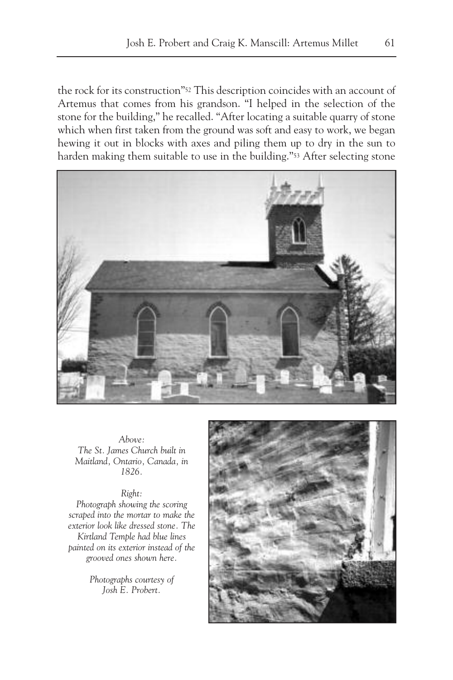the rock for its construction"52 This description coincides with an account of Artemus that comes from his grandson. "I helped in the selection of the stone for the building," he recalled. "After locating a suitable quarry of stone which when first taken from the ground was soft and easy to work, we began hewing it out in blocks with axes and piling them up to dry in the sun to harden making them suitable to use in the building."<sup>53</sup> After selecting stone



*Above: The St. James Church built in Maitland, Ontario, Canada, in 1826.*

#### *Right:*

*Photograph showing the scoring scraped into the mortar to make the exterior look like dressed stone. The Kirtland Temple had blue lines painted on its exterior instead of the grooved ones shown here.*

> *Photographs courtesy of Josh E. Probert.*

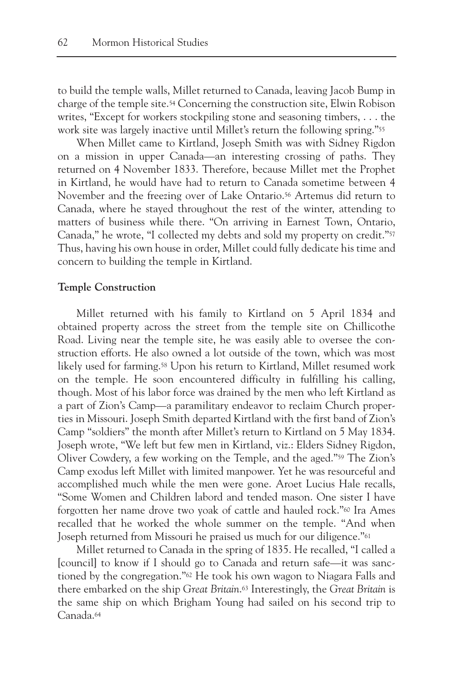to build the temple walls, Millet returned to Canada, leaving Jacob Bump in charge of the temple site.54 Concerning the construction site, Elwin Robison writes, "Except for workers stockpiling stone and seasoning timbers, . . . the work site was largely inactive until Millet's return the following spring."55

When Millet came to Kirtland, Joseph Smith was with Sidney Rigdon on a mission in upper Canada—an interesting crossing of paths. They returned on 4 November 1833. Therefore, because Millet met the Prophet in Kirtland, he would have had to return to Canada sometime between 4 November and the freezing over of Lake Ontario.56 Artemus did return to Canada, where he stayed throughout the rest of the winter, attending to matters of business while there. "On arriving in Earnest Town, Ontario, Canada," he wrote, "I collected my debts and sold my property on credit."57 Thus, having his own house in order, Millet could fully dedicate his time and concern to building the temple in Kirtland.

# **Temple Construction**

Millet returned with his family to Kirtland on 5 April 1834 and obtained property across the street from the temple site on Chillicothe Road. Living near the temple site, he was easily able to oversee the construction efforts. He also owned a lot outside of the town, which was most likely used for farming.58 Upon his return to Kirtland, Millet resumed work on the temple. He soon encountered difficulty in fulfilling his calling, though. Most of his labor force was drained by the men who left Kirtland as a part of Zion's Camp—a paramilitary endeavor to reclaim Church properties in Missouri. Joseph Smith departed Kirtland with the first band of Zion's Camp "soldiers" the month after Millet's return to Kirtland on 5 May 1834. Joseph wrote, "We left but few men in Kirtland, viz.: Elders Sidney Rigdon, Oliver Cowdery, a few working on the Temple, and the aged."59 The Zion's Camp exodus left Millet with limited manpower. Yet he was resourceful and accomplished much while the men were gone. Aroet Lucius Hale recalls, "Some Women and Children labord and tended mason. One sister I have forgotten her name drove two yoak of cattle and hauled rock."60 Ira Ames recalled that he worked the whole summer on the temple. "And when Joseph returned from Missouri he praised us much for our diligence."61

Millet returned to Canada in the spring of 1835. He recalled, "I called a [council] to know if I should go to Canada and return safe—it was sanctioned by the congregation."62 He took his own wagon to Niagara Falls and there embarked on the ship *Great Britain*.63 Interestingly, the *Great Britain* is the same ship on which Brigham Young had sailed on his second trip to Canada.64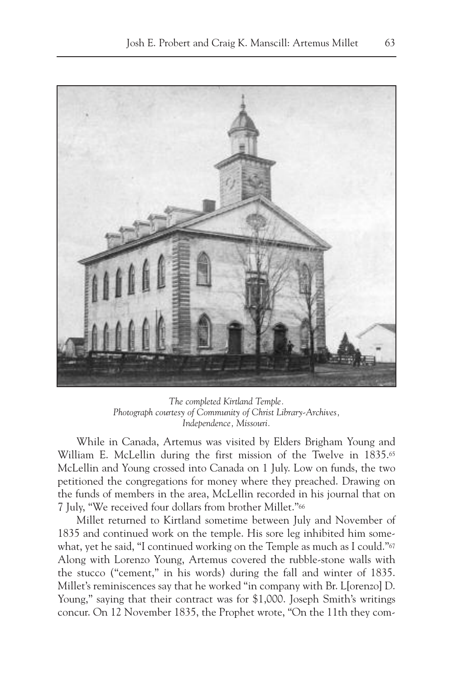

*The completed Kirtland Temple. Photograph courtesy of Community of Christ Library-Archives, Independence, Missouri.*

While in Canada, Artemus was visited by Elders Brigham Young and William E. McLellin during the first mission of the Twelve in 1835.<sup>65</sup> McLellin and Young crossed into Canada on 1 July. Low on funds, the two petitioned the congregations for money where they preached. Drawing on the funds of members in the area, McLellin recorded in his journal that on 7 July, "We received four dollars from brother Millet."66

Millet returned to Kirtland sometime between July and November of 1835 and continued work on the temple. His sore leg inhibited him somewhat, yet he said, "I continued working on the Temple as much as I could."<sup>67</sup> Along with Lorenzo Young, Artemus covered the rubble-stone walls with the stucco ("cement," in his words) during the fall and winter of 1835. Millet's reminiscences say that he worked "in company with Br. L[orenzo] D. Young," saying that their contract was for \$1,000. Joseph Smith's writings concur. On 12 November 1835, the Prophet wrote, "On the 11th they com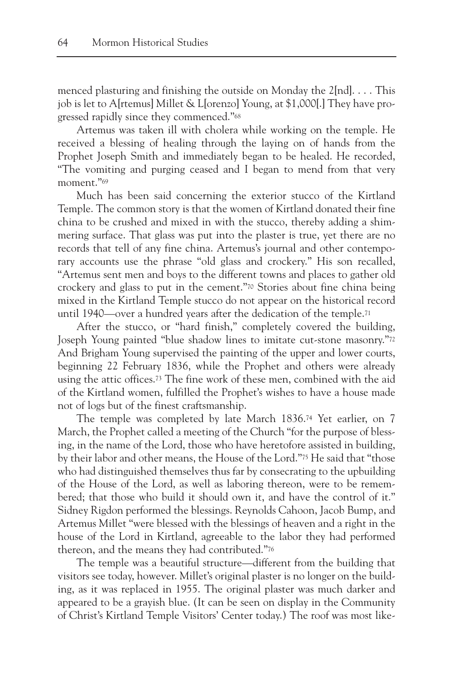menced plasturing and finishing the outside on Monday the  $2[nd]$ .... This job is let to A[rtemus] Millet & L[orenzo] Young, at \$1,000[.] They have progressed rapidly since they commenced."68

Artemus was taken ill with cholera while working on the temple. He received a blessing of healing through the laying on of hands from the Prophet Joseph Smith and immediately began to be healed. He recorded, "The vomiting and purging ceased and I began to mend from that very moment."<sup>69</sup>

Much has been said concerning the exterior stucco of the Kirtland Temple. The common story is that the women of Kirtland donated their fine china to be crushed and mixed in with the stucco, thereby adding a shimmering surface. That glass was put into the plaster is true, yet there are no records that tell of any fine china. Artemus's journal and other contemporary accounts use the phrase "old glass and crockery." His son recalled, "Artemus sent men and boys to the different towns and places to gather old crockery and glass to put in the cement."70 Stories about fine china being mixed in the Kirtland Temple stucco do not appear on the historical record until 1940—over a hundred years after the dedication of the temple.71

After the stucco, or "hard finish," completely covered the building, Joseph Young painted "blue shadow lines to imitate cut-stone masonry."72 And Brigham Young supervised the painting of the upper and lower courts, beginning 22 February 1836, while the Prophet and others were already using the attic offices.73 The fine work of these men, combined with the aid of the Kirtland women, fulfilled the Prophet's wishes to have a house made not of logs but of the finest craftsmanship.

The temple was completed by late March 1836.74 Yet earlier, on 7 March, the Prophet called a meeting of the Church "for the purpose of blessing, in the name of the Lord, those who have heretofore assisted in building, by their labor and other means, the House of the Lord."75 He said that "those who had distinguished themselves thus far by consecrating to the upbuilding of the House of the Lord, as well as laboring thereon, were to be remembered; that those who build it should own it, and have the control of it." Sidney Rigdon performed the blessings. Reynolds Cahoon, Jacob Bump, and Artemus Millet "were blessed with the blessings of heaven and a right in the house of the Lord in Kirtland, agreeable to the labor they had performed thereon, and the means they had contributed."76

The temple was a beautiful structure—different from the building that visitors see today, however. Millet's original plaster is no longer on the building, as it was replaced in 1955. The original plaster was much darker and appeared to be a grayish blue. (It can be seen on display in the Community of Christ's Kirtland Temple Visitors' Center today.) The roof was most like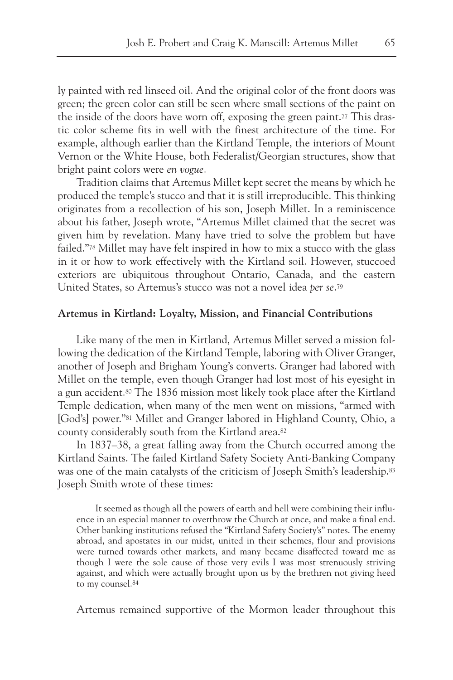ly painted with red linseed oil. And the original color of the front doors was green; the green color can still be seen where small sections of the paint on the inside of the doors have worn off, exposing the green paint.77 This drastic color scheme fits in well with the finest architecture of the time. For example, although earlier than the Kirtland Temple, the interiors of Mount Vernon or the White House, both Federalist/Georgian structures, show that bright paint colors were *en vogue*.

Tradition claims that Artemus Millet kept secret the means by which he produced the temple's stucco and that it is still irreproducible. This thinking originates from a recollection of his son, Joseph Millet. In a reminiscence about his father, Joseph wrote, "Artemus Millet claimed that the secret was given him by revelation. Many have tried to solve the problem but have failed."78 Millet may have felt inspired in how to mix a stucco with the glass in it or how to work effectively with the Kirtland soil. However, stuccoed exteriors are ubiquitous throughout Ontario, Canada, and the eastern United States, so Artemus's stucco was not a novel idea *per se*.79

# **Artemus in Kirtland: Loyalty, Mission, and Financial Contributions**

Like many of the men in Kirtland, Artemus Millet served a mission following the dedication of the Kirtland Temple, laboring with Oliver Granger, another of Joseph and Brigham Young's converts. Granger had labored with Millet on the temple, even though Granger had lost most of his eyesight in a gun accident.80 The 1836 mission most likely took place after the Kirtland Temple dedication, when many of the men went on missions, "armed with [God's] power."81 Millet and Granger labored in Highland County, Ohio, a county considerably south from the Kirtland area.82

In 1837–38, a great falling away from the Church occurred among the Kirtland Saints. The failed Kirtland Safety Society Anti-Banking Company was one of the main catalysts of the criticism of Joseph Smith's leadership.<sup>83</sup> Joseph Smith wrote of these times:

It seemed as though all the powers of earth and hell were combining their influence in an especial manner to overthrow the Church at once, and make a final end. Other banking institutions refused the "Kirtland Safety Society's" notes. The enemy abroad, and apostates in our midst, united in their schemes, flour and provisions were turned towards other markets, and many became disaffected toward me as though I were the sole cause of those very evils I was most strenuously striving against, and which were actually brought upon us by the brethren not giving heed to my counsel.84

Artemus remained supportive of the Mormon leader throughout this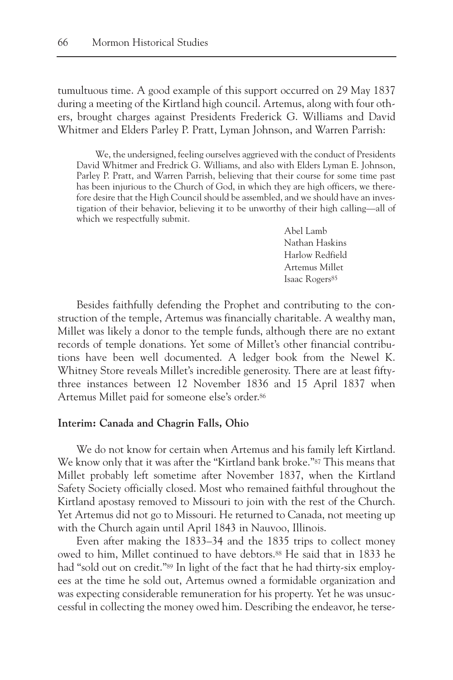tumultuous time. A good example of this support occurred on 29 May 1837 during a meeting of the Kirtland high council. Artemus, along with four others, brought charges against Presidents Frederick G. Williams and David Whitmer and Elders Parley P. Pratt, Lyman Johnson, and Warren Parrish:

We, the undersigned, feeling ourselves aggrieved with the conduct of Presidents David Whitmer and Fredrick G. Williams, and also with Elders Lyman E. Johnson, Parley P. Pratt, and Warren Parrish, believing that their course for some time past has been injurious to the Church of God, in which they are high officers, we therefore desire that the High Council should be assembled, and we should have an investigation of their behavior, believing it to be unworthy of their high calling—all of which we respectfully submit.

> Abel Lamb Nathan Haskins Harlow Redfield Artemus Millet Isaac Rogers<sup>85</sup>

Besides faithfully defending the Prophet and contributing to the construction of the temple, Artemus was financially charitable. A wealthy man, Millet was likely a donor to the temple funds, although there are no extant records of temple donations. Yet some of Millet's other financial contributions have been well documented. A ledger book from the Newel K. Whitney Store reveals Millet's incredible generosity. There are at least fiftythree instances between 12 November 1836 and 15 April 1837 when Artemus Millet paid for someone else's order.86

# **Interim: Canada and Chagrin Falls, Ohio**

We do not know for certain when Artemus and his family left Kirtland. We know only that it was after the "Kirtland bank broke."<sup>87</sup> This means that Millet probably left sometime after November 1837, when the Kirtland Safety Society officially closed. Most who remained faithful throughout the Kirtland apostasy removed to Missouri to join with the rest of the Church. Yet Artemus did not go to Missouri. He returned to Canada, not meeting up with the Church again until April 1843 in Nauvoo, Illinois.

Even after making the 1833–34 and the 1835 trips to collect money owed to him, Millet continued to have debtors.88 He said that in 1833 he had "sold out on credit."89 In light of the fact that he had thirty-six employees at the time he sold out, Artemus owned a formidable organization and was expecting considerable remuneration for his property. Yet he was unsuccessful in collecting the money owed him. Describing the endeavor, he terse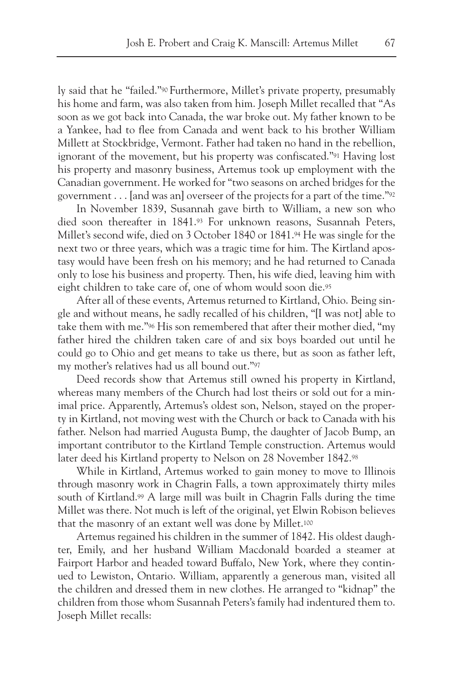ly said that he "failed."90 Furthermore, Millet's private property, presumably his home and farm, was also taken from him. Joseph Millet recalled that "As soon as we got back into Canada, the war broke out. My father known to be a Yankee, had to flee from Canada and went back to his brother William Millett at Stockbridge, Vermont. Father had taken no hand in the rebellion, ignorant of the movement, but his property was confiscated."91 Having lost his property and masonry business, Artemus took up employment with the Canadian government. He worked for "two seasons on arched bridges for the government . . . [and was an] overseer of the projects for a part of the time."92

In November 1839, Susannah gave birth to William, a new son who died soon thereafter in 1841.93 For unknown reasons, Susannah Peters, Millet's second wife, died on 3 October 1840 or 1841.94 He was single for the next two or three years, which was a tragic time for him. The Kirtland apostasy would have been fresh on his memory; and he had returned to Canada only to lose his business and property. Then, his wife died, leaving him with eight children to take care of, one of whom would soon die.95

After all of these events, Artemus returned to Kirtland, Ohio. Being single and without means, he sadly recalled of his children, "[I was not] able to take them with me."96 His son remembered that after their mother died, "my father hired the children taken care of and six boys boarded out until he could go to Ohio and get means to take us there, but as soon as father left, my mother's relatives had us all bound out."97

Deed records show that Artemus still owned his property in Kirtland, whereas many members of the Church had lost theirs or sold out for a minimal price. Apparently, Artemus's oldest son, Nelson, stayed on the property in Kirtland, not moving west with the Church or back to Canada with his father. Nelson had married Augusta Bump, the daughter of Jacob Bump, an important contributor to the Kirtland Temple construction. Artemus would later deed his Kirtland property to Nelson on 28 November 1842.98

While in Kirtland, Artemus worked to gain money to move to Illinois through masonry work in Chagrin Falls, a town approximately thirty miles south of Kirtland.<sup>99</sup> A large mill was built in Chagrin Falls during the time Millet was there. Not much is left of the original, yet Elwin Robison believes that the masonry of an extant well was done by Millet.100

Artemus regained his children in the summer of 1842. His oldest daughter, Emily, and her husband William Macdonald boarded a steamer at Fairport Harbor and headed toward Buffalo, New York, where they continued to Lewiston, Ontario. William, apparently a generous man, visited all the children and dressed them in new clothes. He arranged to "kidnap" the children from those whom Susannah Peters's family had indentured them to. Joseph Millet recalls: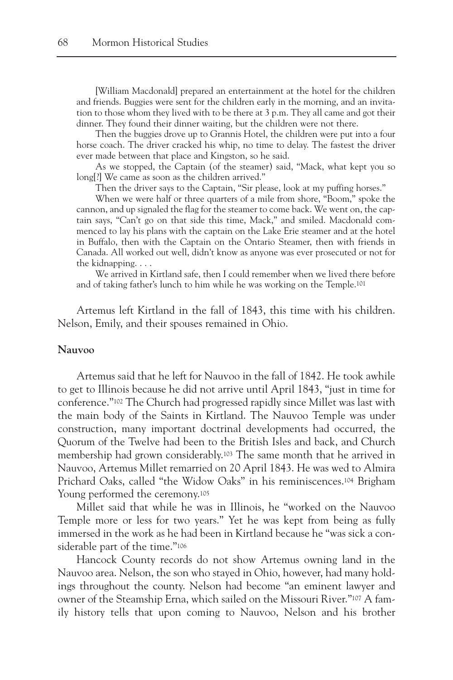[William Macdonald] prepared an entertainment at the hotel for the children and friends. Buggies were sent for the children early in the morning, and an invitation to those whom they lived with to be there at 3 p.m. They all came and got their dinner. They found their dinner waiting, but the children were not there.

Then the buggies drove up to Grannis Hotel, the children were put into a four horse coach. The driver cracked his whip, no time to delay. The fastest the driver ever made between that place and Kingston, so he said.

As we stopped, the Captain (of the steamer) said, "Mack, what kept you so long[?] We came as soon as the children arrived."

Then the driver says to the Captain, "Sir please, look at my puffing horses."

When we were half or three quarters of a mile from shore, "Boom," spoke the cannon, and up signaled the flag for the steamer to come back. We went on, the captain says, "Can't go on that side this time, Mack," and smiled. Macdonald commenced to lay his plans with the captain on the Lake Erie steamer and at the hotel in Buffalo, then with the Captain on the Ontario Steamer, then with friends in Canada. All worked out well, didn't know as anyone was ever prosecuted or not for the kidnapping. . . .

We arrived in Kirtland safe, then I could remember when we lived there before and of taking father's lunch to him while he was working on the Temple.101

Artemus left Kirtland in the fall of 1843, this time with his children. Nelson, Emily, and their spouses remained in Ohio.

#### **Nauvoo**

Artemus said that he left for Nauvoo in the fall of 1842. He took awhile to get to Illinois because he did not arrive until April 1843, "just in time for conference."102 The Church had progressed rapidly since Millet was last with the main body of the Saints in Kirtland. The Nauvoo Temple was under construction, many important doctrinal developments had occurred, the Quorum of the Twelve had been to the British Isles and back, and Church membership had grown considerably.103 The same month that he arrived in Nauvoo, Artemus Millet remarried on 20 April 1843. He was wed to Almira Prichard Oaks, called "the Widow Oaks" in his reminiscences.104 Brigham Young performed the ceremony.<sup>105</sup>

Millet said that while he was in Illinois, he "worked on the Nauvoo Temple more or less for two years." Yet he was kept from being as fully immersed in the work as he had been in Kirtland because he "was sick a considerable part of the time."<sup>106</sup>

Hancock County records do not show Artemus owning land in the Nauvoo area. Nelson, the son who stayed in Ohio, however, had many holdings throughout the county. Nelson had become "an eminent lawyer and owner of the Steamship Erna, which sailed on the Missouri River."107 A family history tells that upon coming to Nauvoo, Nelson and his brother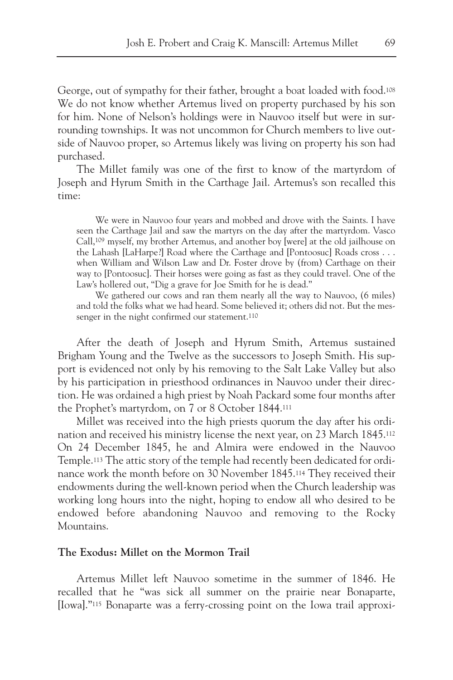George, out of sympathy for their father, brought a boat loaded with food.<sup>108</sup> We do not know whether Artemus lived on property purchased by his son for him. None of Nelson's holdings were in Nauvoo itself but were in surrounding townships. It was not uncommon for Church members to live outside of Nauvoo proper, so Artemus likely was living on property his son had purchased.

The Millet family was one of the first to know of the martyrdom of Joseph and Hyrum Smith in the Carthage Jail. Artemus's son recalled this time:

We were in Nauvoo four years and mobbed and drove with the Saints. I have seen the Carthage Jail and saw the martyrs on the day after the martyrdom. Vasco Call,109 myself, my brother Artemus, and another boy [were] at the old jailhouse on the Lahash [LaHarpe?] Road where the Carthage and [Pontoosuc] Roads cross . . . when William and Wilson Law and Dr. Foster drove by (from) Carthage on their way to [Pontoosuc]. Their horses were going as fast as they could travel. One of the Law's hollered out, "Dig a grave for Joe Smith for he is dead."

We gathered our cows and ran them nearly all the way to Nauvoo,  $(6 \text{ miles})$ and told the folks what we had heard. Some believed it; others did not. But the messenger in the night confirmed our statement.110

After the death of Joseph and Hyrum Smith, Artemus sustained Brigham Young and the Twelve as the successors to Joseph Smith. His support is evidenced not only by his removing to the Salt Lake Valley but also by his participation in priesthood ordinances in Nauvoo under their direction. He was ordained a high priest by Noah Packard some four months after the Prophet's martyrdom, on 7 or 8 October 1844.111

Millet was received into the high priests quorum the day after his ordination and received his ministry license the next year, on 23 March 1845.112 On 24 December 1845, he and Almira were endowed in the Nauvoo Temple.113 The attic story of the temple had recently been dedicated for ordinance work the month before on 30 November 1845.114 They received their endowments during the well-known period when the Church leadership was working long hours into the night, hoping to endow all who desired to be endowed before abandoning Nauvoo and removing to the Rocky Mountains.

# **The Exodus: Millet on the Mormon Trail**

Artemus Millet left Nauvoo sometime in the summer of 1846. He recalled that he "was sick all summer on the prairie near Bonaparte, [Iowa]."115 Bonaparte was a ferry-crossing point on the Iowa trail approxi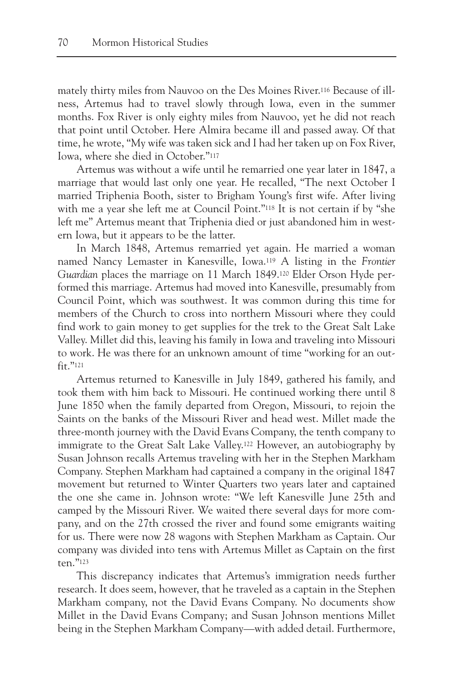mately thirty miles from Nauvoo on the Des Moines River.116 Because of illness, Artemus had to travel slowly through Iowa, even in the summer months. Fox River is only eighty miles from Nauvoo, yet he did not reach that point until October. Here Almira became ill and passed away. Of that time, he wrote, "My wife was taken sick and I had her taken up on Fox River, Iowa, where she died in October."117

Artemus was without a wife until he remarried one year later in 1847, a marriage that would last only one year. He recalled, "The next October I married Triphenia Booth, sister to Brigham Young's first wife. After living with me a year she left me at Council Point."<sup>118</sup> It is not certain if by "she left me" Artemus meant that Triphenia died or just abandoned him in western Iowa, but it appears to be the latter.

In March 1848, Artemus remarried yet again. He married a woman named Nancy Lemaster in Kanesville, Iowa.119 A listing in the *Frontier Guardian* places the marriage on 11 March 1849.120 Elder Orson Hyde performed this marriage. Artemus had moved into Kanesville, presumably from Council Point, which was southwest. It was common during this time for members of the Church to cross into northern Missouri where they could find work to gain money to get supplies for the trek to the Great Salt Lake Valley. Millet did this, leaving his family in Iowa and traveling into Missouri to work. He was there for an unknown amount of time "working for an outfit."121

Artemus returned to Kanesville in July 1849, gathered his family, and took them with him back to Missouri. He continued working there until 8 June 1850 when the family departed from Oregon, Missouri, to rejoin the Saints on the banks of the Missouri River and head west. Millet made the three-month journey with the David Evans Company, the tenth company to immigrate to the Great Salt Lake Valley.122 However, an autobiography by Susan Johnson recalls Artemus traveling with her in the Stephen Markham Company. Stephen Markham had captained a company in the original 1847 movement but returned to Winter Quarters two years later and captained the one she came in. Johnson wrote: "We left Kanesville June 25th and camped by the Missouri River. We waited there several days for more company, and on the 27th crossed the river and found some emigrants waiting for us. There were now 28 wagons with Stephen Markham as Captain. Our company was divided into tens with Artemus Millet as Captain on the first ten."123

This discrepancy indicates that Artemus's immigration needs further research. It does seem, however, that he traveled as a captain in the Stephen Markham company, not the David Evans Company. No documents show Millet in the David Evans Company; and Susan Johnson mentions Millet being in the Stephen Markham Company—with added detail. Furthermore,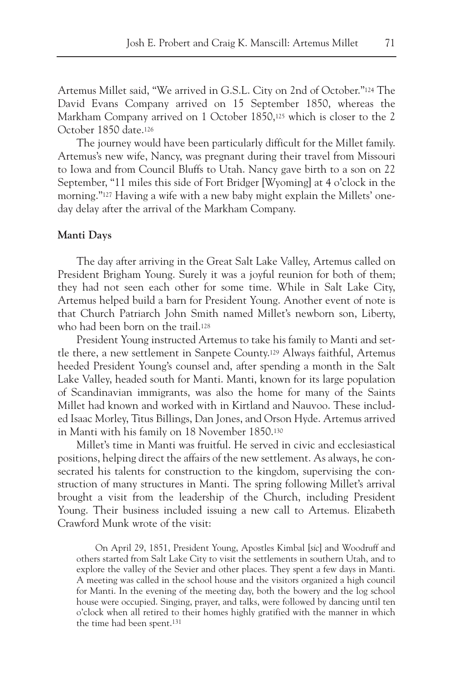Artemus Millet said, "We arrived in G.S.L. City on 2nd of October."124 The David Evans Company arrived on 15 September 1850, whereas the Markham Company arrived on 1 October 1850,<sup>125</sup> which is closer to the 2 October 1850 date.126

The journey would have been particularly difficult for the Millet family. Artemus's new wife, Nancy, was pregnant during their travel from Missouri to Iowa and from Council Bluffs to Utah. Nancy gave birth to a son on 22 September, "11 miles this side of Fort Bridger [Wyoming] at 4 o'clock in the morning."127 Having a wife with a new baby might explain the Millets' oneday delay after the arrival of the Markham Company.

# **Manti Days**

The day after arriving in the Great Salt Lake Valley, Artemus called on President Brigham Young. Surely it was a joyful reunion for both of them; they had not seen each other for some time. While in Salt Lake City, Artemus helped build a barn for President Young. Another event of note is that Church Patriarch John Smith named Millet's newborn son, Liberty, who had been born on the trail.<sup>128</sup>

President Young instructed Artemus to take his family to Manti and settle there, a new settlement in Sanpete County.129 Always faithful, Artemus heeded President Young's counsel and, after spending a month in the Salt Lake Valley, headed south for Manti. Manti, known for its large population of Scandinavian immigrants, was also the home for many of the Saints Millet had known and worked with in Kirtland and Nauvoo. These included Isaac Morley, Titus Billings, Dan Jones, and Orson Hyde. Artemus arrived in Manti with his family on 18 November 1850.130

Millet's time in Manti was fruitful. He served in civic and ecclesiastical positions, helping direct the affairs of the new settlement. As always, he consecrated his talents for construction to the kingdom, supervising the construction of many structures in Manti. The spring following Millet's arrival brought a visit from the leadership of the Church, including President Young. Their business included issuing a new call to Artemus. Elizabeth Crawford Munk wrote of the visit:

On April 29, 1851, President Young, Apostles Kimbal [*sic*] and Woodruff and others started from Salt Lake City to visit the settlements in southern Utah, and to explore the valley of the Sevier and other places. They spent a few days in Manti. A meeting was called in the school house and the visitors organized a high council for Manti. In the evening of the meeting day, both the bowery and the log school house were occupied. Singing, prayer, and talks, were followed by dancing until ten o'clock when all retired to their homes highly gratified with the manner in which the time had been spent.131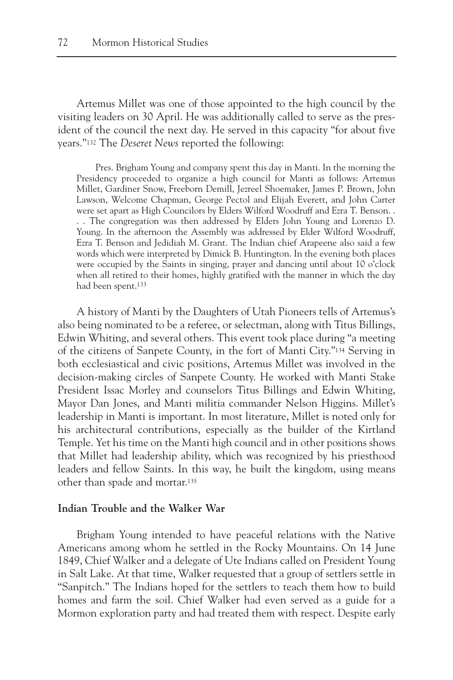Artemus Millet was one of those appointed to the high council by the visiting leaders on 30 April. He was additionally called to serve as the president of the council the next day. He served in this capacity "for about five years."132 The *Deseret News* reported the following:

Pres. Brigham Young and company spent this day in Manti. In the morning the Presidency proceeded to organize a high council for Manti as follows: Artemus Millet, Gardiner Snow, Freeborn Demill, Jezreel Shoemaker, James P. Brown, John Lawson, Welcome Chapman, George Pectol and Elijah Everett, and John Carter were set apart as High Councilors by Elders Wilford Woodruff and Ezra T. Benson. . . . The congregation was then addressed by Elders John Young and Lorenzo D. Young. In the afternoon the Assembly was addressed by Elder Wilford Woodruff, Ezra T. Benson and Jedidiah M. Grant. The Indian chief Arapeene also said a few words which were interpreted by Dimick B. Huntington. In the evening both places were occupied by the Saints in singing, prayer and dancing until about 10 o'clock when all retired to their homes, highly gratified with the manner in which the day had been spent.133

A history of Manti by the Daughters of Utah Pioneers tells of Artemus's also being nominated to be a referee, or selectman, along with Titus Billings, Edwin Whiting, and several others. This event took place during "a meeting of the citizens of Sanpete County, in the fort of Manti City."134 Serving in both ecclesiastical and civic positions, Artemus Millet was involved in the decision-making circles of Sanpete County. He worked with Manti Stake President Issac Morley and counselors Titus Billings and Edwin Whiting, Mayor Dan Jones, and Manti militia commander Nelson Higgins. Millet's leadership in Manti is important. In most literature, Millet is noted only for his architectural contributions, especially as the builder of the Kirtland Temple. Yet his time on the Manti high council and in other positions shows that Millet had leadership ability, which was recognized by his priesthood leaders and fellow Saints. In this way, he built the kingdom, using means other than spade and mortar.135

#### **Indian Trouble and the Walker War**

Brigham Young intended to have peaceful relations with the Native Americans among whom he settled in the Rocky Mountains. On 14 June 1849, Chief Walker and a delegate of Ute Indians called on President Young in Salt Lake. At that time, Walker requested that a group of settlers settle in "Sanpitch." The Indians hoped for the settlers to teach them how to build homes and farm the soil. Chief Walker had even served as a guide for a Mormon exploration party and had treated them with respect. Despite early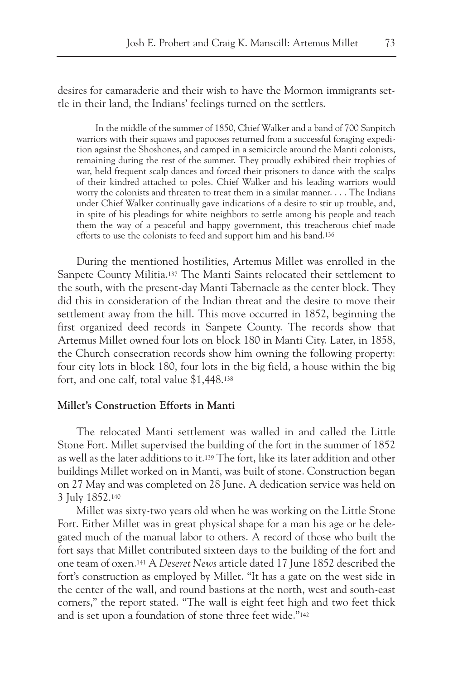desires for camaraderie and their wish to have the Mormon immigrants settle in their land, the Indians' feelings turned on the settlers.

In the middle of the summer of 1850, Chief Walker and a band of 700 Sanpitch warriors with their squaws and papooses returned from a successful foraging expedition against the Shoshones, and camped in a semicircle around the Manti colonists, remaining during the rest of the summer. They proudly exhibited their trophies of war, held frequent scalp dances and forced their prisoners to dance with the scalps of their kindred attached to poles. Chief Walker and his leading warriors would worry the colonists and threaten to treat them in a similar manner. . . . The Indians under Chief Walker continually gave indications of a desire to stir up trouble, and, in spite of his pleadings for white neighbors to settle among his people and teach them the way of a peaceful and happy government, this treacherous chief made efforts to use the colonists to feed and support him and his band.136

During the mentioned hostilities, Artemus Millet was enrolled in the Sanpete County Militia.137 The Manti Saints relocated their settlement to the south, with the present-day Manti Tabernacle as the center block. They did this in consideration of the Indian threat and the desire to move their settlement away from the hill. This move occurred in 1852, beginning the first organized deed records in Sanpete County. The records show that Artemus Millet owned four lots on block 180 in Manti City. Later, in 1858, the Church consecration records show him owning the following property: four city lots in block 180, four lots in the big field, a house within the big fort, and one calf, total value \$1,448.138

# **Millet's Construction Efforts in Manti**

The relocated Manti settlement was walled in and called the Little Stone Fort. Millet supervised the building of the fort in the summer of 1852 as well as the later additions to it.139 The fort, like its later addition and other buildings Millet worked on in Manti, was built of stone. Construction began on 27 May and was completed on 28 June. A dedication service was held on 3 July 1852.140

Millet was sixty-two years old when he was working on the Little Stone Fort. Either Millet was in great physical shape for a man his age or he delegated much of the manual labor to others. A record of those who built the fort says that Millet contributed sixteen days to the building of the fort and one team of oxen.141 A *Deseret News* article dated 17 June 1852 described the fort's construction as employed by Millet. "It has a gate on the west side in the center of the wall, and round bastions at the north, west and south-east corners," the report stated. "The wall is eight feet high and two feet thick and is set upon a foundation of stone three feet wide."142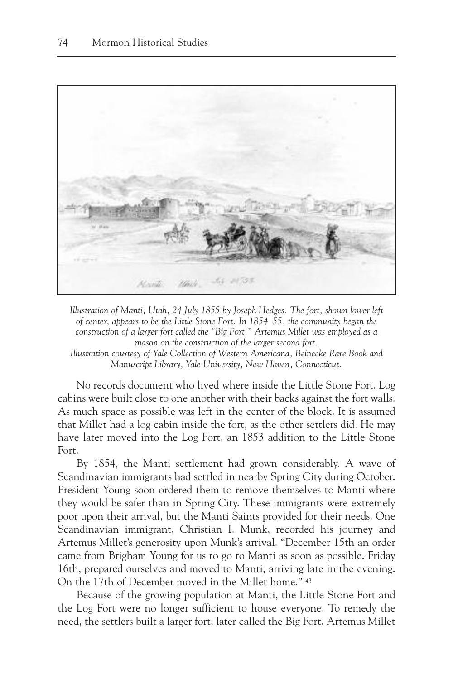

*Illustration of Manti, Utah, 24 July 1855 by Joseph Hedges. The fort, shown lower left of center, appears to be the Little Stone Fort. In 1854–55, the community began the construction of a larger fort called the "Big Fort." Artemus Millet was employed as a mason on the construction of the larger second fort.* 

*Illustration courtesy of Yale Collection of Western Americana, Beinecke Rare Book and Manuscript Library, Yale University, New Haven, Connecticut.*

No records document who lived where inside the Little Stone Fort. Log cabins were built close to one another with their backs against the fort walls. As much space as possible was left in the center of the block. It is assumed that Millet had a log cabin inside the fort, as the other settlers did. He may have later moved into the Log Fort, an 1853 addition to the Little Stone Fort.

By 1854, the Manti settlement had grown considerably. A wave of Scandinavian immigrants had settled in nearby Spring City during October. President Young soon ordered them to remove themselves to Manti where they would be safer than in Spring City. These immigrants were extremely poor upon their arrival, but the Manti Saints provided for their needs. One Scandinavian immigrant, Christian I. Munk, recorded his journey and Artemus Millet's generosity upon Munk's arrival. "December 15th an order came from Brigham Young for us to go to Manti as soon as possible. Friday 16th, prepared ourselves and moved to Manti, arriving late in the evening. On the 17th of December moved in the Millet home."143

Because of the growing population at Manti, the Little Stone Fort and the Log Fort were no longer sufficient to house everyone. To remedy the need, the settlers built a larger fort, later called the Big Fort. Artemus Millet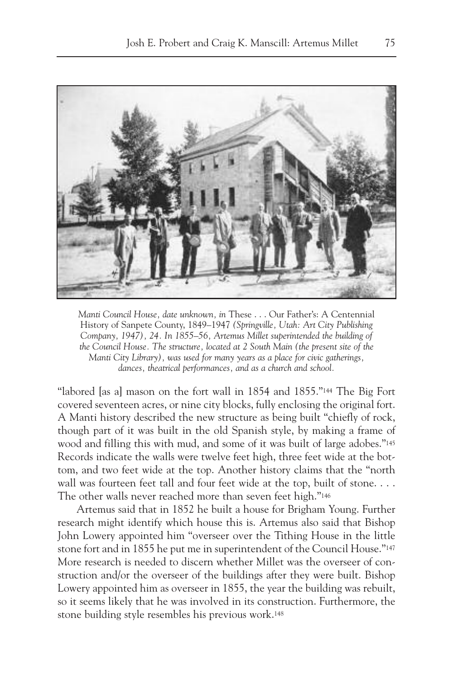

*Manti Council House, date unknown, in* These . . . Our Father's: A Centennial History of Sanpete County, 1849–1947 *(Springville, Utah: Art City Publishing Company, 1947), 24. In 1855–56, Artemus Millet superintended the building of the Council House. The structure, located at 2 South Main (the present site of the Manti City Library), was used for many years as a place for civic gatherings, dances, theatrical performances, and as a church and school.*

"labored [as a] mason on the fort wall in 1854 and 1855."<sup>144</sup> The Big Fort covered seventeen acres, or nine city blocks, fully enclosing the original fort. A Manti history described the new structure as being built "chiefly of rock, though part of it was built in the old Spanish style, by making a frame of wood and filling this with mud, and some of it was built of large adobes."145 Records indicate the walls were twelve feet high, three feet wide at the bottom, and two feet wide at the top. Another history claims that the "north wall was fourteen feet tall and four feet wide at the top, built of stone.... The other walls never reached more than seven feet high."146

Artemus said that in 1852 he built a house for Brigham Young. Further research might identify which house this is. Artemus also said that Bishop John Lowery appointed him "overseer over the Tithing House in the little stone fort and in 1855 he put me in superintendent of the Council House."147 More research is needed to discern whether Millet was the overseer of construction and/or the overseer of the buildings after they were built. Bishop Lowery appointed him as overseer in 1855, the year the building was rebuilt, so it seems likely that he was involved in its construction. Furthermore, the stone building style resembles his previous work.148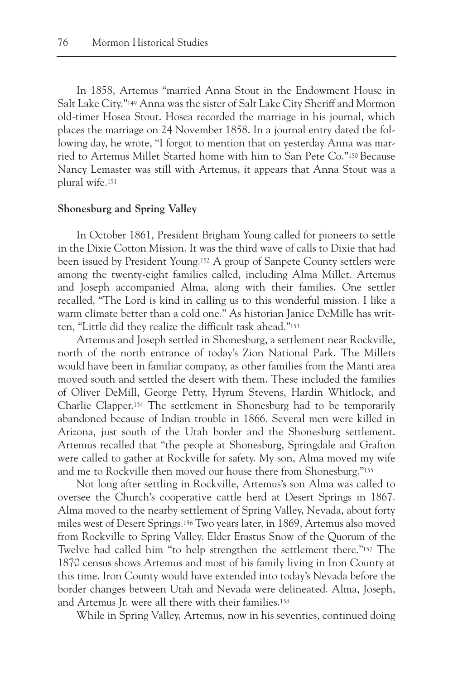In 1858, Artemus "married Anna Stout in the Endowment House in Salt Lake City."149 Anna was the sister of Salt Lake City Sheriff and Mormon old-timer Hosea Stout. Hosea recorded the marriage in his journal, which places the marriage on 24 November 1858. In a journal entry dated the following day, he wrote, "I forgot to mention that on yesterday Anna was married to Artemus Millet Started home with him to San Pete Co."150 Because Nancy Lemaster was still with Artemus, it appears that Anna Stout was a plural wife.151

## **Shonesburg and Spring Valley**

In October 1861, President Brigham Young called for pioneers to settle in the Dixie Cotton Mission. It was the third wave of calls to Dixie that had been issued by President Young.152 A group of Sanpete County settlers were among the twenty-eight families called, including Alma Millet. Artemus and Joseph accompanied Alma, along with their families. One settler recalled, "The Lord is kind in calling us to this wonderful mission. I like a warm climate better than a cold one." As historian Janice DeMille has written, "Little did they realize the difficult task ahead."153

Artemus and Joseph settled in Shonesburg, a settlement near Rockville, north of the north entrance of today's Zion National Park. The Millets would have been in familiar company, as other families from the Manti area moved south and settled the desert with them. These included the families of Oliver DeMill, George Petty, Hyrum Stevens, Hardin Whitlock, and Charlie Clapper.154 The settlement in Shonesburg had to be temporarily abandoned because of Indian trouble in 1866. Several men were killed in Arizona, just south of the Utah border and the Shonesburg settlement. Artemus recalled that "the people at Shonesburg, Springdale and Grafton were called to gather at Rockville for safety. My son, Alma moved my wife and me to Rockville then moved our house there from Shonesburg."155

Not long after settling in Rockville, Artemus's son Alma was called to oversee the Church's cooperative cattle herd at Desert Springs in 1867. Alma moved to the nearby settlement of Spring Valley, Nevada, about forty miles west of Desert Springs.156 Two years later, in 1869, Artemus also moved from Rockville to Spring Valley. Elder Erastus Snow of the Quorum of the Twelve had called him "to help strengthen the settlement there."157 The 1870 census shows Artemus and most of his family living in Iron County at this time. Iron County would have extended into today's Nevada before the border changes between Utah and Nevada were delineated. Alma, Joseph, and Artemus Jr. were all there with their families.158

While in Spring Valley, Artemus, now in his seventies, continued doing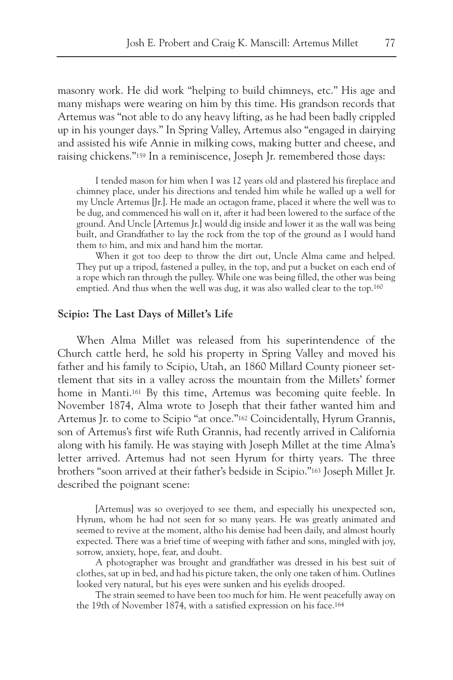masonry work. He did work "helping to build chimneys, etc." His age and many mishaps were wearing on him by this time. His grandson records that Artemus was "not able to do any heavy lifting, as he had been badly crippled up in his younger days." In Spring Valley, Artemus also "engaged in dairying and assisted his wife Annie in milking cows, making butter and cheese, and raising chickens."159 In a reminiscence, Joseph Jr. remembered those days:

I tended mason for him when I was 12 years old and plastered his fireplace and chimney place, under his directions and tended him while he walled up a well for my Uncle Artemus [Jr.]. He made an octagon frame, placed it where the well was to be dug, and commenced his wall on it, after it had been lowered to the surface of the ground. And Uncle [Artemus Jr.] would dig inside and lower it as the wall was being built, and Grandfather to lay the rock from the top of the ground as I would hand them to him, and mix and hand him the mortar.

When it got too deep to throw the dirt out, Uncle Alma came and helped. They put up a tripod, fastened a pulley, in the top, and put a bucket on each end of a rope which ran through the pulley. While one was being filled, the other was being emptied. And thus when the well was dug, it was also walled clear to the top.160

#### **Scipio: The Last Days of Millet's Life**

When Alma Millet was released from his superintendence of the Church cattle herd, he sold his property in Spring Valley and moved his father and his family to Scipio, Utah, an 1860 Millard County pioneer settlement that sits in a valley across the mountain from the Millets' former home in Manti.161 By this time, Artemus was becoming quite feeble. In November 1874, Alma wrote to Joseph that their father wanted him and Artemus Jr. to come to Scipio "at once."162 Coincidentally, Hyrum Grannis, son of Artemus's first wife Ruth Grannis, had recently arrived in California along with his family. He was staying with Joseph Millet at the time Alma's letter arrived. Artemus had not seen Hyrum for thirty years. The three brothers "soon arrived at their father's bedside in Scipio."163 Joseph Millet Jr. described the poignant scene:

[Artemus] was so overjoyed to see them, and especially his unexpected son, Hyrum, whom he had not seen for so many years. He was greatly animated and seemed to revive at the moment, altho his demise had been daily, and almost hourly expected. There was a brief time of weeping with father and sons, mingled with joy, sorrow, anxiety, hope, fear, and doubt.

A photographer was brought and grandfather was dressed in his best suit of clothes, sat up in bed, and had his picture taken, the only one taken of him. Outlines looked very natural, but his eyes were sunken and his eyelids drooped.

The strain seemed to have been too much for him. He went peacefully away on the 19th of November 1874, with a satisfied expression on his face.164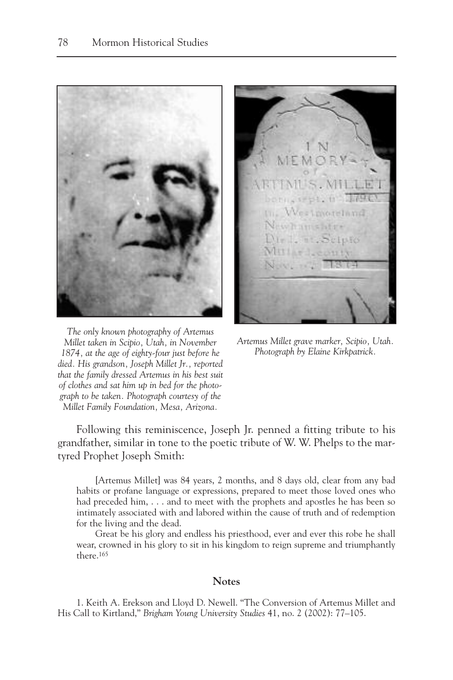

*The only known photography of Artemus Millet taken in Scipio, Utah, in November 1874, at the age of eighty-four just before he died. His grandson, Joseph Millet Jr., reported that the family dressed Artemus in his best suit of clothes and sat him up in bed for the photograph to be taken. Photograph courtesy of the Millet Family Foundation, Mesa, Arizona.*

ULL Westmoreland Vew hamslift Dir L. 11. S **BASE** 

*Artemus Millet grave marker, Scipio, Utah. Photograph by Elaine Kirkpatrick.*

Following this reminiscence, Joseph Jr. penned a fitting tribute to his grandfather, similar in tone to the poetic tribute of W. W. Phelps to the martyred Prophet Joseph Smith:

[Artemus Millet] was 84 years, 2 months, and 8 days old, clear from any bad habits or profane language or expressions, prepared to meet those loved ones who had preceded him, . . . and to meet with the prophets and apostles he has been so intimately associated with and labored within the cause of truth and of redemption for the living and the dead.

Great be his glory and endless his priesthood, ever and ever this robe he shall wear, crowned in his glory to sit in his kingdom to reign supreme and triumphantly there.165

# **Notes**

1. Keith A. Erekson and Lloyd D. Newell. "The Conversion of Artemus Millet and His Call to Kirtland," *Brigham Young University Studies* 41, no. 2 (2002): 77–105.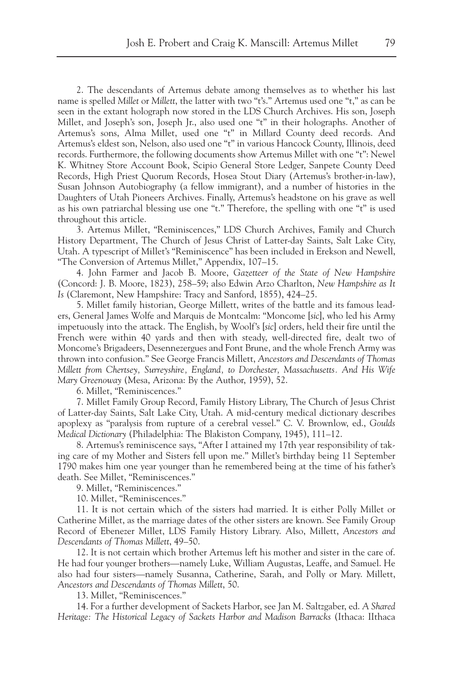2. The descendants of Artemus debate among themselves as to whether his last name is spelled *Millet* or *Millett*, the latter with two "t's." Artemus used one "t," as can be seen in the extant holograph now stored in the LDS Church Archives. His son, Joseph Millet, and Joseph's son, Joseph Jr., also used one "t" in their holographs. Another of Artemus's sons, Alma Millet, used one "t" in Millard County deed records. And Artemus's eldest son, Nelson, also used one "t" in various Hancock County, Illinois, deed records. Furthermore, the following documents show Artemus Millet with one "t": Newel K. Whitney Store Account Book, Scipio General Store Ledger, Sanpete County Deed Records, High Priest Quorum Records, Hosea Stout Diary (Artemus's brother-in-law), Susan Johnson Autobiography (a fellow immigrant), and a number of histories in the Daughters of Utah Pioneers Archives. Finally, Artemus's headstone on his grave as well as his own patriarchal blessing use one "t." Therefore, the spelling with one "t" is used throughout this article.

3. Artemus Millet, "Reminiscences," LDS Church Archives, Family and Church History Department, The Church of Jesus Christ of Latter-day Saints, Salt Lake City, Utah. A typescript of Millet's "Reminiscence" has been included in Erekson and Newell, "The Conversion of Artemus Millet," Appendix, 107–15.

4. John Farmer and Jacob B. Moore, *Gazetteer of the State of New Hampshire* (Concord: J. B. Moore, 1823), 258–59; also Edwin Arzo Charlton, *New Hampshire as It Is* (Claremont, New Hampshire: Tracy and Sanford, 1855), 424–25.

5. Millet family historian, George Millett, writes of the battle and its famous leaders, General James Wolfe and Marquis de Montcalm: "Moncome [*sic*], who led his Army impetuously into the attack. The English, by Woolf's [*sic*] orders, held their fire until the French were within 40 yards and then with steady, well-directed fire, dealt two of Moncome's Brigadeers, Desennezergues and Font Brune, and the whole French Army was thrown into confusion." See George Francis Millett, *Ancestors and Descendants of Thomas Millett from Chertsey, Surreyshire, England, to Dorchester, Massachusetts. And His Wife Mary Greenoway* (Mesa, Arizona: By the Author, 1959), 52.

6. Millet, "Reminiscences."

7. Millet Family Group Record, Family History Library, The Church of Jesus Christ of Latter-day Saints, Salt Lake City, Utah. A mid-century medical dictionary describes apoplexy as "paralysis from rupture of a cerebral vessel." C. V. Brownlow, ed., *Goulds Medical Dictionary* (Philadelphia: The Blakiston Company, 1945), 111–12.

8. Artemus's reminiscence says, "After I attained my 17th year responsibility of taking care of my Mother and Sisters fell upon me." Millet's birthday being 11 September 1790 makes him one year younger than he remembered being at the time of his father's death. See Millet, "Reminiscences."

9. Millet, "Reminiscences."

10. Millet, "Reminiscences."

11. It is not certain which of the sisters had married. It is either Polly Millet or Catherine Millet, as the marriage dates of the other sisters are known. See Family Group Record of Ebenezer Millet, LDS Family History Library. Also, Millett, *Ancestors and Descendants of Thomas Millett*, 49–50.

12. It is not certain which brother Artemus left his mother and sister in the care of. He had four younger brothers—namely Luke, William Augustas, Leaffe, and Samuel. He also had four sisters—namely Susanna, Catherine, Sarah, and Polly or Mary. Millett, *Ancestors and Descendants of Thomas Millett*, 50.

13. Millet, "Reminiscences."

14. For a further development of Sackets Harbor, see Jan M. Saltzgaber, ed. *A Shared Heritage: The Historical Legacy of Sackets Harbor and Madison Barracks* (Ithaca: IIthaca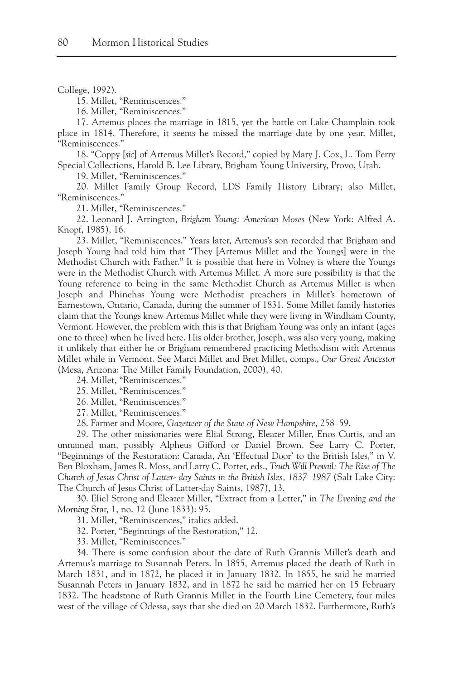#### College, 1992).

15. Millet, "Reminiscences."

16. Millet, "Reminiscences."

17. Artemus places the marriage in 1815, yet the battle on Lake Champlain took place in 1814. Therefore, it seems he missed the marriage date by one year. Millet, "Reminiscences."

18. "Coppy [*sic*] of Artemus Millet's Record," copied by Mary J. Cox, L. Tom Perry Special Collections, Harold B. Lee Library, Brigham Young University, Provo, Utah.

19. Millet, "Reminiscences."

20. Millet Family Group Record, LDS Family History Library; also Millet, "Reminiscences."

21. Millet, "Reminiscences."

22. Leonard J. Arrington, *Brigham Young: American Moses* (New York: Alfred A. Knopf, 1985), 16.

23. Millet, "Reminiscences." Years later, Artemus's son recorded that Brigham and Joseph Young had told him that "They [Artemus Millet and the Youngs] were in the Methodist Church with Father." It is possible that here in Volney is where the Youngs were in the Methodist Church with Artemus Millet. A more sure possibility is that the Young reference to being in the same Methodist Church as Artemus Millet is when Joseph and Phinehas Young were Methodist preachers in Millet's hometown of Earnestown, Ontario, Canada, during the summer of 1831. Some Millet family histories claim that the Youngs knew Artemus Millet while they were living in Windham County, Vermont. However, the problem with this is that Brigham Young was only an infant (ages one to three) when he lived here. His older brother, Joseph, was also very young, making it unlikely that either he or Brigham remembered practicing Methodism with Artemus Millet while in Vermont. See Marci Millet and Bret Millet, comps., *Our Great Ancestor* (Mesa, Arizona: The Millet Family Foundation, 2000), 40.

24. Millet, "Reminiscences."

25. Millet, "Reminiscences."

26. Millet, "Reminiscences."

27. Millet, "Reminiscences."

28. Farmer and Moore, *Gazetteer of the State of New Hampshire*, 258–59.

29. The other missionaries were Elial Strong, Eleazer Miller, Enos Curtis, and an unnamed man, possibly Alpheus Gifford or Daniel Brown. See Larry C. Porter, "Beginnings of the Restoration: Canada, An 'Effectual Door' to the British Isles," in V. Ben Bloxham, James R. Moss, and Larry C. Porter, eds., *Truth Will Prevail: The Rise of The Church of Jesus Christ of Latter- day Saints in the British Isles, 1837–1987* (Salt Lake City: The Church of Jesus Christ of Latter-day Saints, 1987), 13.

30. Eliel Strong and Eleazer Miller, "Extract from a Letter," in *The Evening and the Morning* Star, 1, no. 12 (June 1833): 95.

31. Millet, "Reminiscences," italics added.

32. Porter, "Beginnings of the Restoration," 12.

33. Millet, "Reminiscences."

34. There is some confusion about the date of Ruth Grannis Millet's death and Artemus's marriage to Susannah Peters. In 1855, Artemus placed the death of Ruth in March 1831, and in 1872, he placed it in January 1832. In 1855, he said he married Susannah Peters in January 1832, and in 1872 he said he married her on 15 February 1832. The headstone of Ruth Grannis Millet in the Fourth Line Cemetery, four miles west of the village of Odessa, says that she died on 20 March 1832. Furthermore, Ruth's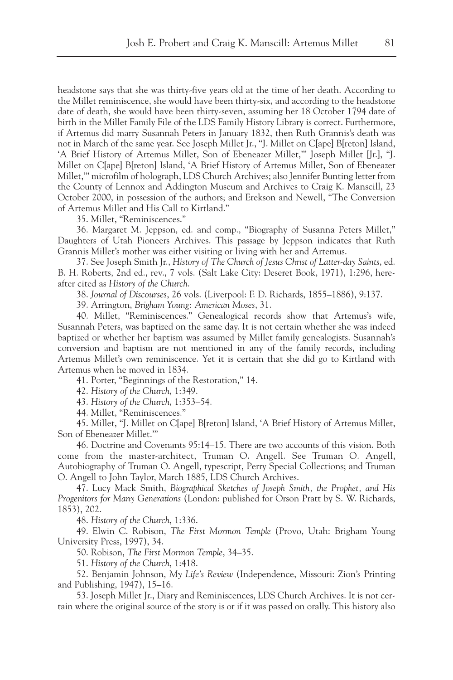headstone says that she was thirty-five years old at the time of her death. According to the Millet reminiscence, she would have been thirty-six, and according to the headstone date of death, she would have been thirty-seven, assuming her 18 October 1794 date of birth in the Millet Family File of the LDS Family History Library is correct. Furthermore, if Artemus did marry Susannah Peters in January 1832, then Ruth Grannis's death was not in March of the same year. See Joseph Millet Jr., "J. Millet on C[ape] B[reton] Island, 'A Brief History of Artemus Millet, Son of Ebeneazer Millet,'" Joseph Millet [Jr.], "J. Millet on C[ape] B[reton] Island, 'A Brief History of Artemus Millet, Son of Ebeneazer Millet,'" microfilm of holograph, LDS Church Archives; also Jennifer Bunting letter from the County of Lennox and Addington Museum and Archives to Craig K. Manscill, 23 October 2000, in possession of the authors; and Erekson and Newell, "The Conversion of Artemus Millet and His Call to Kirtland."

35. Millet, "Reminiscences."

36. Margaret M. Jeppson, ed. and comp., "Biography of Susanna Peters Millet," Daughters of Utah Pioneers Archives. This passage by Jeppson indicates that Ruth Grannis Millet's mother was either visiting or living with her and Artemus.

37. See Joseph Smith Jr., *History of The Church of Jesus Christ of Latter-day Saints*, ed. B. H. Roberts, 2nd ed., rev., 7 vols. (Salt Lake City: Deseret Book, 1971), 1:296, hereafter cited as *History of the Church*.

38. *Journal of Discourses*, 26 vols. (Liverpool: F. D. Richards, 1855–1886), 9:137.

39. Arrington, *Brigham Young: American Moses*, 31.

40. Millet, "Reminiscences." Genealogical records show that Artemus's wife, Susannah Peters, was baptized on the same day. It is not certain whether she was indeed baptized or whether her baptism was assumed by Millet family genealogists. Susannah's conversion and baptism are not mentioned in any of the family records, including Artemus Millet's own reminiscence. Yet it is certain that she did go to Kirtland with Artemus when he moved in 1834.

41. Porter, "Beginnings of the Restoration," 14.

42. *History of the Church*, 1:349.

43. *History of the Church*, 1:353–54.

44. Millet, "Reminiscences."

45. Millet, "J. Millet on C[ape] B[reton] Island, 'A Brief History of Artemus Millet, Son of Ebeneazer Millet.'"

46. Doctrine and Covenants 95:14–15. There are two accounts of this vision. Both come from the master-architect, Truman O. Angell. See Truman O. Angell, Autobiography of Truman O. Angell, typescript, Perry Special Collections; and Truman O. Angell to John Taylor, March 1885, LDS Church Archives.

47. Lucy Mack Smith, *Biographical Sketches of Joseph Smith, the Prophet, and His Progenitors for Many Generations* (London: published for Orson Pratt by S. W. Richards, 1853), 202.

48. *History of the Church*, 1:336.

49. Elwin C. Robison, *The First Mormon Temple* (Provo, Utah: Brigham Young University Press, 1997), 34.

50. Robison, *The First Mormon Temple*, 34–35.

51. *History of the Church*, 1:418.

52. Benjamin Johnson, *My Life's Review* (Independence, Missouri: Zion's Printing and Publishing, 1947), 15–16.

53. Joseph Millet Jr., Diary and Reminiscences, LDS Church Archives. It is not certain where the original source of the story is or if it was passed on orally. This history also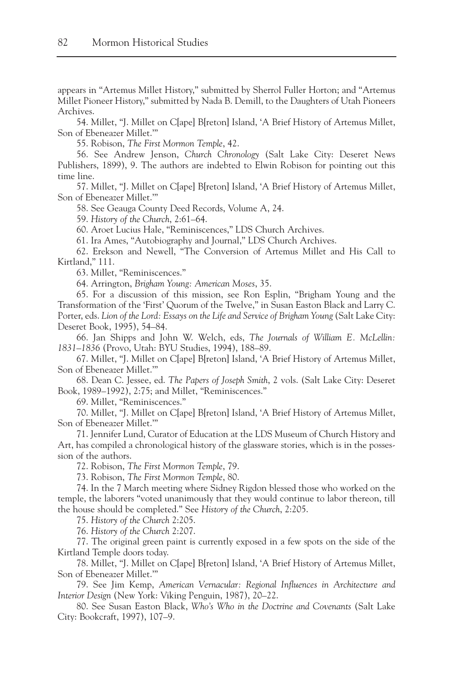appears in "Artemus Millet History," submitted by Sherrol Fuller Horton; and "Artemus Millet Pioneer History," submitted by Nada B. Demill, to the Daughters of Utah Pioneers Archives.

54. Millet, "J. Millet on C[ape] B[reton] Island, 'A Brief History of Artemus Millet, Son of Ebeneazer Millet.'"

55. Robison, *The First Mormon Temple*, 42.

56. See Andrew Jenson, *Church Chronology* (Salt Lake City: Deseret News Publishers, 1899), 9. The authors are indebted to Elwin Robison for pointing out this time line.

57. Millet, "J. Millet on C[ape] B[reton] Island, 'A Brief History of Artemus Millet, Son of Ebeneazer Millet.'"

58. See Geauga County Deed Records, Volume A, 24.

59. *History of the Church*, 2:61–64.

60. Aroet Lucius Hale, "Reminiscences," LDS Church Archives.

61. Ira Ames, "Autobiography and Journal," LDS Church Archives.

62. Erekson and Newell, "The Conversion of Artemus Millet and His Call to Kirtland," 111.

63. Millet, "Reminiscences."

64. Arrington, *Brigham Young: American Moses*, 35.

65. For a discussion of this mission, see Ron Esplin, "Brigham Young and the Transformation of the 'First' Quorum of the Twelve," in Susan Easton Black and Larry C. Porter, eds. *Lion of the Lord: Essays on the Life and Service of Brigham Young* (Salt Lake City: Deseret Book, 1995), 54–84.

66. Jan Shipps and John W. Welch, eds, *The Journals of William E. McLellin: 1831–1836* (Provo, Utah: BYU Studies, 1994), 188–89.

67. Millet, "J. Millet on C[ape] B[reton] Island, 'A Brief History of Artemus Millet, Son of Ebeneazer Millet.'"

68. Dean C. Jessee, ed. *The Papers of Joseph Smith*, 2 vols. (Salt Lake City: Deseret Book, 1989–1992), 2:75; and Millet, "Reminiscences."

69. Millet, "Reminiscences."

70. Millet, "J. Millet on C[ape] B[reton] Island, 'A Brief History of Artemus Millet, Son of Ebeneazer Millet.'"

71. Jennifer Lund, Curator of Education at the LDS Museum of Church History and Art, has compiled a chronological history of the glassware stories, which is in the possession of the authors.

72. Robison, *The First Mormon Temple*, 79.

73. Robison, *The First Mormon Temple*, 80.

74. In the 7 March meeting where Sidney Rigdon blessed those who worked on the temple, the laborers "voted unanimously that they would continue to labor thereon, till the house should be completed." See *History of the Church*, 2:205.

75. *History of the Church* 2:205.

76. *History of the Church* 2:207.

77. The original green paint is currently exposed in a few spots on the side of the Kirtland Temple doors today.

78. Millet, "J. Millet on C[ape] B[reton] Island, 'A Brief History of Artemus Millet, Son of Ebeneazer Millet.'"

79. See Jim Kemp, *American Vernacular: Regional Influences in Architecture and Interior Design* (New York: Viking Penguin, 1987), 20–22.

80. See Susan Easton Black, *Who's Who in the Doctrine and Covenants* (Salt Lake City: Bookcraft, 1997), 107–9.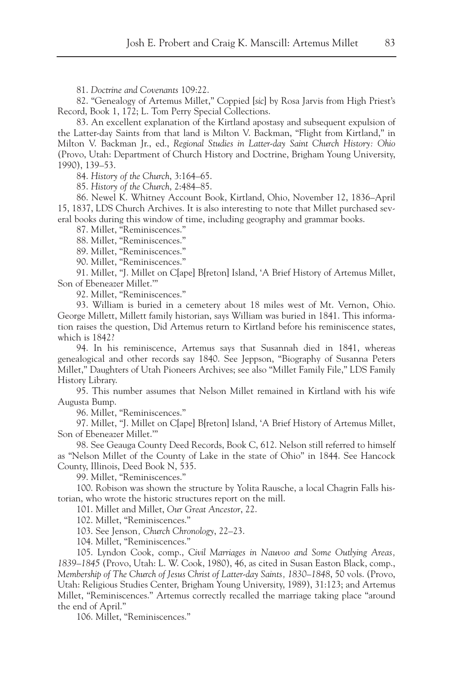81. *Doctrine and Covenants* 109:22.

82. "Genealogy of Artemus Millet," Coppied [*sic*] by Rosa Jarvis from High Priest's Record, Book 1, 172; L. Tom Perry Special Collections.

83. An excellent explanation of the Kirtland apostasy and subsequent expulsion of the Latter-day Saints from that land is Milton V. Backman, "Flight from Kirtland," in Milton V. Backman Jr., ed., *Regional Studies in Latter-day Saint Church History: Ohio* (Provo, Utah: Department of Church History and Doctrine, Brigham Young University, 1990), 139–53.

84. *History of the Church*, 3:164–65.

85. *History of the Church*, 2:484–85.

86. Newel K. Whitney Account Book, Kirtland, Ohio, November 12, 1836–April 15, 1837, LDS Church Archives. It is also interesting to note that Millet purchased several books during this window of time, including geography and grammar books.

87. Millet, "Reminiscences."

88. Millet, "Reminiscences."

89. Millet, "Reminiscences."

90. Millet, "Reminiscences."

91. Millet, "J. Millet on C[ape] B[reton] Island, 'A Brief History of Artemus Millet, Son of Ebeneazer Millet.'"

92. Millet, "Reminiscences."

93. William is buried in a cemetery about 18 miles west of Mt. Vernon, Ohio. George Millett, Millett family historian, says William was buried in 1841. This information raises the question, Did Artemus return to Kirtland before his reminiscence states, which is 1842?

94. In his reminiscence, Artemus says that Susannah died in 1841, whereas genealogical and other records say 1840. See Jeppson, "Biography of Susanna Peters Millet," Daughters of Utah Pioneers Archives; see also "Millet Family File," LDS Family History Library.

95. This number assumes that Nelson Millet remained in Kirtland with his wife Augusta Bump.

96. Millet, "Reminiscences."

97. Millet, "J. Millet on C[ape] B[reton] Island, 'A Brief History of Artemus Millet, Son of Ebeneazer Millet.'"

98. See Geauga County Deed Records, Book C, 612. Nelson still referred to himself as "Nelson Millet of the County of Lake in the state of Ohio" in 1844. See Hancock County, Illinois, Deed Book N, 535.

99. Millet, "Reminiscences."

100. Robison was shown the structure by Yolita Rausche, a local Chagrin Falls historian, who wrote the historic structures report on the mill.

101. Millet and Millet, *Our Great Ancestor*, 22.

102. Millet, "Reminiscences."

103. See Jenson*, Church Chronology*, 22–23.

104. Millet, "Reminiscences."

105. Lyndon Cook, comp., C*ivil Marriages in Nauvoo and Some Outlying Areas, 1839–1845* (Provo, Utah: L. W. Cook, 1980), 46, as cited in Susan Easton Black, comp., *Membership of The Church of Jesus Christ of Latter-day Saints, 1830–1848*, 50 vols. (Provo, Utah: Religious Studies Center, Brigham Young University, 1989), 31:123; and Artemus Millet, "Reminiscences." Artemus correctly recalled the marriage taking place "around the end of April."

106. Millet, "Reminiscences."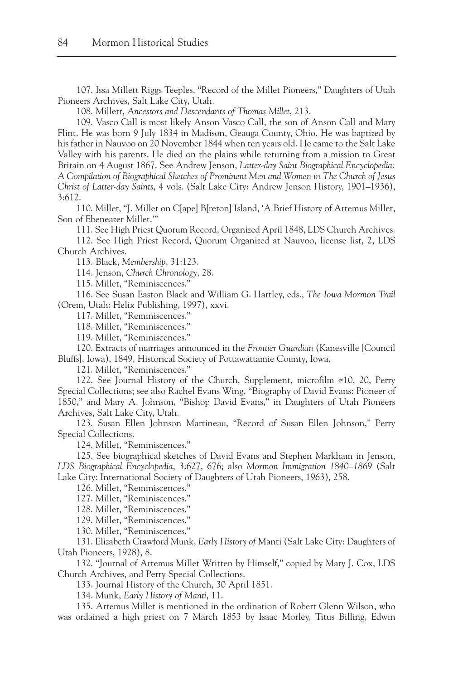107. Issa Millett Riggs Teeples, "Record of the Millet Pioneers," Daughters of Utah Pioneers Archives, Salt Lake City, Utah.

108. Millett, *Ancestors and Descendants of Thomas Millet*, 213.

109. Vasco Call is most likely Anson Vasco Call, the son of Anson Call and Mary Flint. He was born 9 July 1834 in Madison, Geauga County, Ohio. He was baptized by his father in Nauvoo on 20 November 1844 when ten years old. He came to the Salt Lake Valley with his parents. He died on the plains while returning from a mission to Great Britain on 4 August 1867. See Andrew Jenson, *Latter-day Saint Biographical Encyclopedia: A Compilation of Biographical Sketches of Prominent Men and Women in The Church of Jesus Christ of Latter-day Saints*, 4 vols. (Salt Lake City: Andrew Jenson History, 1901–1936), 3:612.

110. Millet, "J. Millet on C[ape] B[reton] Island, 'A Brief History of Artemus Millet, Son of Ebeneazer Millet.'"

111. See High Priest Quorum Record, Organized April 1848, LDS Church Archives.

112. See High Priest Record, Quorum Organized at Nauvoo, license list, 2, LDS Church Archives.

113. Black, *Membership*, 31:123.

114. Jenson, *Church Chronology*, 28.

115. Millet, "Reminiscences."

116. See Susan Easton Black and William G. Hartley, eds., *The Iowa Mormon Trail* (Orem, Utah: Helix Publishing, 1997), xxvi.

117. Millet, "Reminiscences."

118. Millet, "Reminiscences."

119. Millet, "Reminiscences."

120. Extracts of marriages announced in the *Frontier Guardian* (Kanesville [Council Bluffs], Iowa), 1849, Historical Society of Pottawattamie County, Iowa.

121. Millet, "Reminiscences."

122. See Journal History of the Church, Supplement, microfilm #10, 20, Perry Special Collections; see also Rachel Evans Wing, "Biography of David Evans: Pioneer of 1850," and Mary A. Johnson, "Bishop David Evans," in Daughters of Utah Pioneers Archives, Salt Lake City, Utah.

123. Susan Ellen Johnson Martineau, "Record of Susan Ellen Johnson," Perry Special Collections.

124. Millet, "Reminiscences."

125. See biographical sketches of David Evans and Stephen Markham in Jenson, *LDS Biographical Encyclopedia*, 3:627, 676; also *Mormon Immigration 1840–1869* (Salt Lake City: International Society of Daughters of Utah Pioneers, 1963), 258.

126. Millet, "Reminiscences."

127. Millet, "Reminiscences."

128. Millet, "Reminiscences."

129. Millet, "Reminiscences."

130. Millet, "Reminiscences."

131. Elizabeth Crawford Munk, *Early History of* Manti (Salt Lake City: Daughters of Utah Pioneers, 1928), 8.

132. "Journal of Artemus Millet Written by Himself," copied by Mary J. Cox, LDS Church Archives, and Perry Special Collections.

133. Journal History of the Church, 30 April 1851.

134. Munk, *Early History of Manti*, 11.

135. Artemus Millet is mentioned in the ordination of Robert Glenn Wilson, who was ordained a high priest on 7 March 1853 by Isaac Morley, Titus Billing, Edwin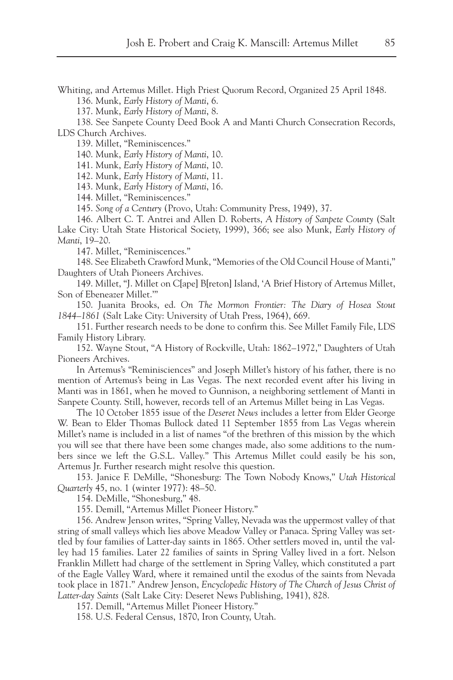Whiting, and Artemus Millet. High Priest Quorum Record, Organized 25 April 1848.

136. Munk, *Early History of Manti*, 6.

137. Munk, *Early History of Manti*, 8.

138. See Sanpete County Deed Book A and Manti Church Consecration Records, LDS Church Archives.

139. Millet, "Reminiscences."

140. Munk, *Early History of Manti*, 10.

141. Munk, *Early History of Manti*, 10.

142. Munk, *Early History of Manti*, 11.

143. Munk, *Early History of Manti*, 16.

144. Millet, "Reminiscences."

145. *Song of a Century* (Provo, Utah: Community Press, 1949), 37.

146. Albert C. T. Antrei and Allen D. Roberts, *A History of Sanpete County* (Salt Lake City: Utah State Historical Society, 1999), 366; see also Munk, *Early History of Manti*, 19–20.

147. Millet, "Reminiscences."

148. See Elizabeth Crawford Munk, "Memories of the Old Council House of Manti," Daughters of Utah Pioneers Archives.

149. Millet, "J. Millet on C[ape] B[reton] Island, 'A Brief History of Artemus Millet, Son of Ebeneazer Millet.'"

150. Juanita Brooks, ed. *On The Mormon Frontier: The Diary of Hosea Stout 1844–1861* (Salt Lake City: University of Utah Press, 1964), 669.

151. Further research needs to be done to confirm this. See Millet Family File, LDS Family History Library.

152. Wayne Stout, "A History of Rockville, Utah: 1862–1972," Daughters of Utah Pioneers Archives.

In Artemus's "Reminisciences" and Joseph Millet's history of his father, there is no mention of Artemus's being in Las Vegas. The next recorded event after his living in Manti was in 1861, when he moved to Gunnison, a neighboring settlement of Manti in Sanpete County. Still, however, records tell of an Artemus Millet being in Las Vegas.

The 10 October 1855 issue of the *Deseret News* includes a letter from Elder George W. Bean to Elder Thomas Bullock dated 11 September 1855 from Las Vegas wherein Millet's name is included in a list of names "of the brethren of this mission by the which you will see that there have been some changes made, also some additions to the numbers since we left the G.S.L. Valley." This Artemus Millet could easily be his son, Artemus Jr. Further research might resolve this question.

153. Janice F. DeMille, "Shonesburg: The Town Nobody Knows," *Utah Historical Quarterly* 45, no. 1 (winter 1977): 48–50.

154. DeMille, "Shonesburg," 48.

155. Demill, "Artemus Millet Pioneer History."

156. Andrew Jenson writes, "Spring Valley, Nevada was the uppermost valley of that string of small valleys which lies above Meadow Valley or Panaca. Spring Valley was settled by four families of Latter-day saints in 1865. Other settlers moved in, until the valley had 15 families. Later 22 families of saints in Spring Valley lived in a fort. Nelson Franklin Millett had charge of the settlement in Spring Valley, which constituted a part of the Eagle Valley Ward, where it remained until the exodus of the saints from Nevada took place in 1871." Andrew Jenson, *Encyclopedic History of The Church of Jesus Christ of Latter-day Saints* (Salt Lake City: Deseret News Publishing, 1941), 828.

157. Demill, "Artemus Millet Pioneer History."

158. U.S. Federal Census, 1870, Iron County, Utah.